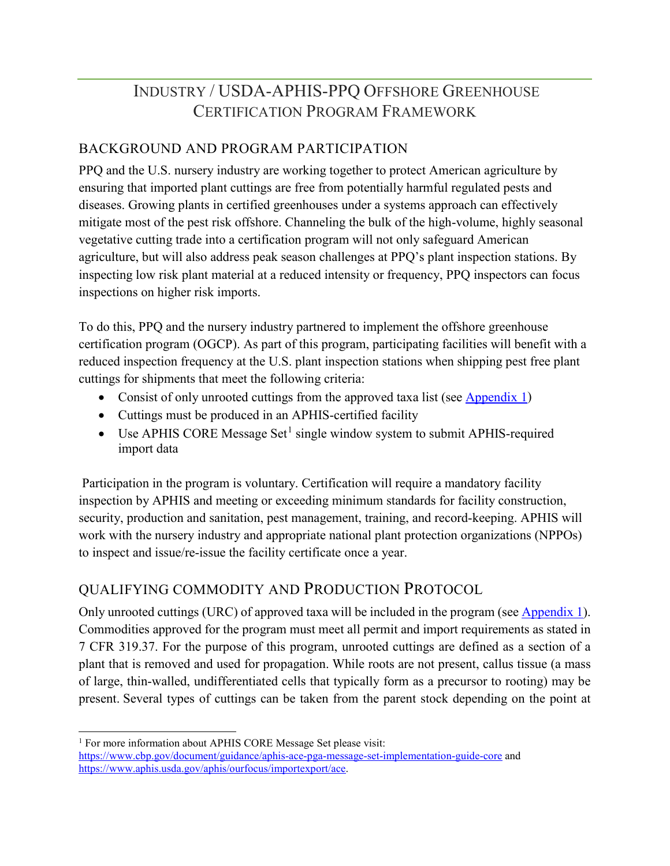# INDUSTRY / USDA-APHIS-PPQ OFFSHORE GREENHOUSE CERTIFICATION PROGRAM FRAMEWORK

## BACKGROUND AND PROGRAM PARTICIPATION

PPQ and the U.S. nursery industry are working together to protect American agriculture by ensuring that imported plant cuttings are free from potentially harmful regulated pests and diseases. Growing plants in certified greenhouses under a systems approach can effectively mitigate most of the pest risk offshore. Channeling the bulk of the high-volume, highly seasonal vegetative cutting trade into a certification program will not only safeguard American agriculture, but will also address peak season challenges at PPQ's plant inspection stations. By inspecting low risk plant material at a reduced intensity or frequency, PPQ inspectors can focus inspections on higher risk imports.

To do this, PPQ and the nursery industry partnered to implement the offshore greenhouse certification program (OGCP). As part of this program, participating facilities will benefit with a reduced inspection frequency at the U.S. plant inspection stations when shipping pest free plant cuttings for shipments that meet the following criteria:

- Consist of only unrooted cuttings from the approved taxa list (see [Appendix 1\)](#page-7-0)
- Cuttings must be produced in an APHIS-certified facility
- Use APHIS CORE Message Set<sup>[1](#page-0-0)</sup> single window system to submit APHIS-required import data

Participation in the program is voluntary. Certification will require a mandatory facility inspection by APHIS and meeting or exceeding minimum standards for facility construction, security, production and sanitation, pest management, training, and record-keeping. APHIS will work with the nursery industry and appropriate national plant protection organizations (NPPOs) to inspect and issue/re-issue the facility certificate once a year.

# QUALIFYING COMMODITY AND PRODUCTION PROTOCOL

Only unrooted cuttings (URC) of approved taxa will be included in the program (see [Appendix 1\)](#page-7-0). Commodities approved for the program must meet all permit and import requirements as stated in 7 CFR 319.37. For the purpose of this program, unrooted cuttings are defined as a section of a plant that is removed and used for propagation. While roots are not present, callus tissue (a mass of large, thin-walled, undifferentiated cells that typically form as a precursor to rooting) may be present. Several types of cuttings can be taken from the parent stock depending on the point at

<span id="page-0-0"></span><sup>&</sup>lt;sup>1</sup> For more information about APHIS CORE Message Set please visit:

<https://www.cbp.gov/document/guidance/aphis-ace-pga-message-set-implementation-guide-core> and [https://www.aphis.usda.gov/aphis/ourfocus/importexport/ace.](https://www.aphis.usda.gov/aphis/ourfocus/importexport/ace)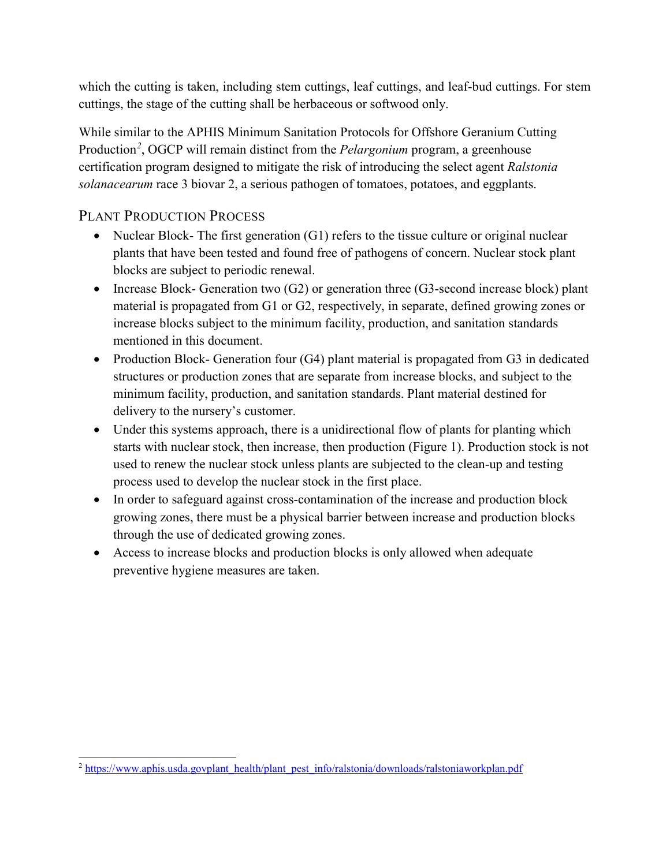which the cutting is taken, including stem cuttings, leaf cuttings, and leaf-bud cuttings. For stem cuttings, the stage of the cutting shall be herbaceous or softwood only.

While similar to the APHIS Minimum Sanitation Protocols for Offshore Geranium Cutting Production*[2](#page-1-0)* , OGCP will remain distinct from the *Pelargonium* program, a greenhouse certification program designed to mitigate the risk of introducing the select agent *Ralstonia solanacearum* race 3 biovar 2, a serious pathogen of tomatoes, potatoes, and eggplants.

# PLANT PRODUCTION PROCESS

- Nuclear Block- The first generation (G1) refers to the tissue culture or original nuclear plants that have been tested and found free of pathogens of concern. Nuclear stock plant blocks are subject to periodic renewal.
- Increase Block- Generation two (G2) or generation three (G3-second increase block) plant material is propagated from G1 or G2, respectively, in separate, defined growing zones or increase blocks subject to the minimum facility, production, and sanitation standards mentioned in this document.
- Production Block- Generation four (G4) plant material is propagated from G3 in dedicated structures or production zones that are separate from increase blocks, and subject to the minimum facility, production, and sanitation standards. Plant material destined for delivery to the nursery's customer.
- Under this systems approach, there is a unidirectional flow of plants for planting which starts with nuclear stock, then increase, then production (Figure 1). Production stock is not used to renew the nuclear stock unless plants are subjected to the clean-up and testing process used to develop the nuclear stock in the first place.
- In order to safeguard against cross-contamination of the increase and production block growing zones, there must be a physical barrier between increase and production blocks through the use of dedicated growing zones.
- Access to increase blocks and production blocks is only allowed when adequate preventive hygiene measures are taken.

<span id="page-1-0"></span><sup>&</sup>lt;sup>2</sup> [https://www.aphis.usda.govplant\\_health/plant\\_pest\\_info/ralstonia/downloads/ralstoniaworkplan.pdf](https://www.aphis.usda.govplant_health/plant_pest_info/ralstonia/downloads/ralstoniaworkplan.pdf)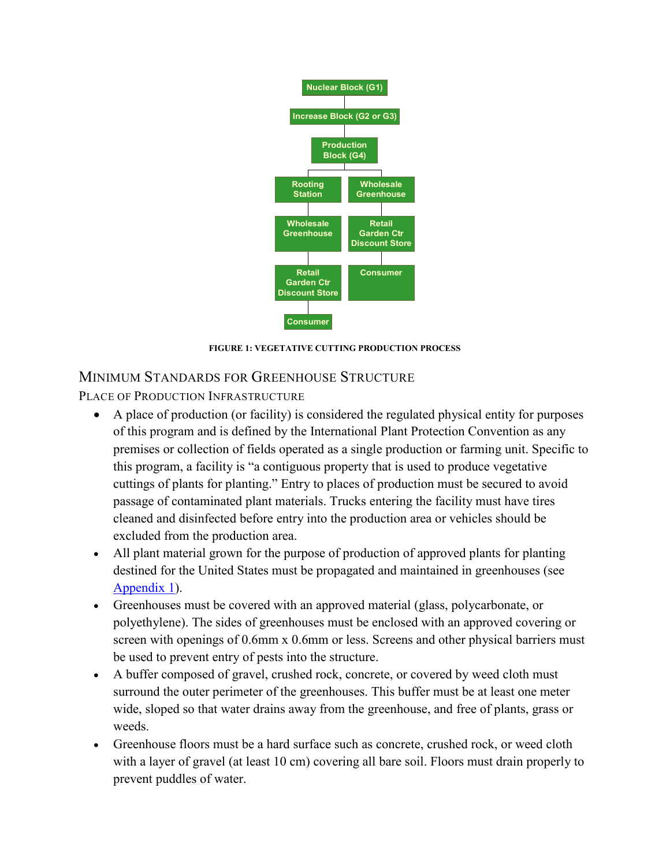

**FIGURE 1: VEGETATIVE CUTTING PRODUCTION PROCESS**

## MINIMUM STANDARDS FOR GREENHOUSE STRUCTURE

PLACE OF PRODUCTION INFRASTRUCTURE

- A place of production (or facility) is considered the regulated physical entity for purposes of this program and is defined by the International Plant Protection Convention as any premises or collection of fields operated as a single production or farming unit. Specific to this program, a facility is "a contiguous property that is used to produce vegetative cuttings of plants for planting." Entry to places of production must be secured to avoid passage of contaminated plant materials. Trucks entering the facility must have tires cleaned and disinfected before entry into the production area or vehicles should be excluded from the production area.
- All plant material grown for the purpose of production of approved plants for planting destined for the United States must be propagated and maintained in greenhouses (see [Appendix 1\)](#page-7-0).
- Greenhouses must be covered with an approved material (glass, polycarbonate, or polyethylene). The sides of greenhouses must be enclosed with an approved covering or screen with openings of 0.6mm x 0.6mm or less. Screens and other physical barriers must be used to prevent entry of pests into the structure.
- A buffer composed of gravel, crushed rock, concrete, or covered by weed cloth must surround the outer perimeter of the greenhouses. This buffer must be at least one meter wide, sloped so that water drains away from the greenhouse, and free of plants, grass or weeds.
- Greenhouse floors must be a hard surface such as concrete, crushed rock, or weed cloth with a layer of gravel (at least 10 cm) covering all bare soil. Floors must drain properly to prevent puddles of water.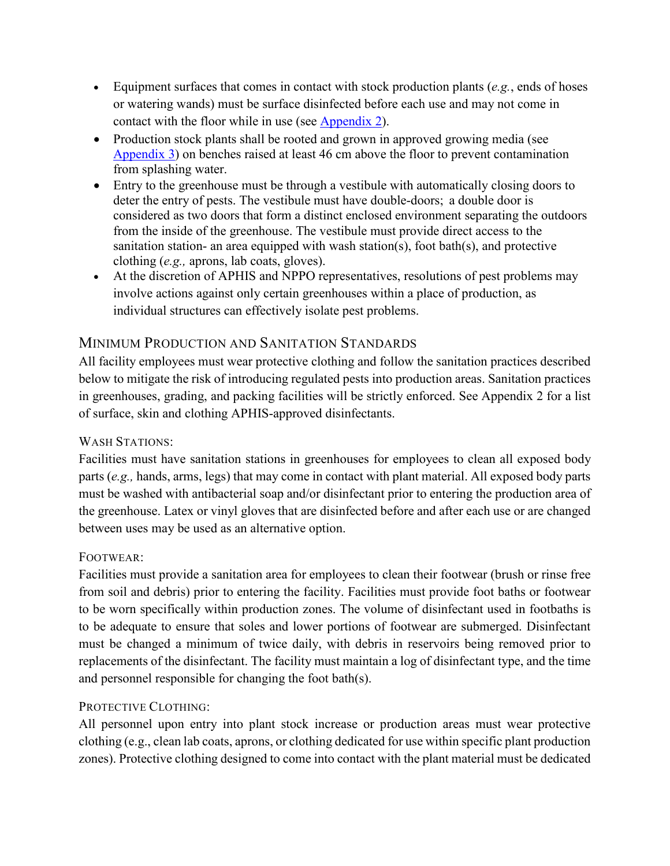- Equipment surfaces that comes in contact with stock production plants (*e.g.*, ends of hoses or watering wands) must be surface disinfected before each use and may not come in contact with the floor while in use (see [Appendix 2\)](#page-16-0).
- Production stock plants shall be rooted and grown in approved growing media (see [Appendix 3\)](#page-19-0) on benches raised at least 46 cm above the floor to prevent contamination from splashing water.
- Entry to the greenhouse must be through a vestibule with automatically closing doors to deter the entry of pests. The vestibule must have double-doors; a double door is considered as two doors that form a distinct enclosed environment separating the outdoors from the inside of the greenhouse. The vestibule must provide direct access to the sanitation station- an area equipped with wash station(s), foot bath(s), and protective clothing (*e.g.,* aprons, lab coats, gloves).
- At the discretion of APHIS and NPPO representatives, resolutions of pest problems may involve actions against only certain greenhouses within a place of production, as individual structures can effectively isolate pest problems.

## MINIMUM PRODUCTION AND SANITATION STANDARDS

All facility employees must wear protective clothing and follow the sanitation practices described below to mitigate the risk of introducing regulated pests into production areas. Sanitation practices in greenhouses, grading, and packing facilities will be strictly enforced. See Appendix 2 for a list of surface, skin and clothing APHIS-approved disinfectants.

### WASH STATIONS:

Facilities must have sanitation stations in greenhouses for employees to clean all exposed body parts (*e.g.,* hands, arms, legs) that may come in contact with plant material. All exposed body parts must be washed with antibacterial soap and/or disinfectant prior to entering the production area of the greenhouse. Latex or vinyl gloves that are disinfected before and after each use or are changed between uses may be used as an alternative option.

### FOOTWEAR:

Facilities must provide a sanitation area for employees to clean their footwear (brush or rinse free from soil and debris) prior to entering the facility. Facilities must provide foot baths or footwear to be worn specifically within production zones. The volume of disinfectant used in footbaths is to be adequate to ensure that soles and lower portions of footwear are submerged. Disinfectant must be changed a minimum of twice daily, with debris in reservoirs being removed prior to replacements of the disinfectant. The facility must maintain a log of disinfectant type, and the time and personnel responsible for changing the foot bath(s).

### PROTECTIVE CLOTHING:

All personnel upon entry into plant stock increase or production areas must wear protective clothing (e.g., clean lab coats, aprons, or clothing dedicated for use within specific plant production zones). Protective clothing designed to come into contact with the plant material must be dedicated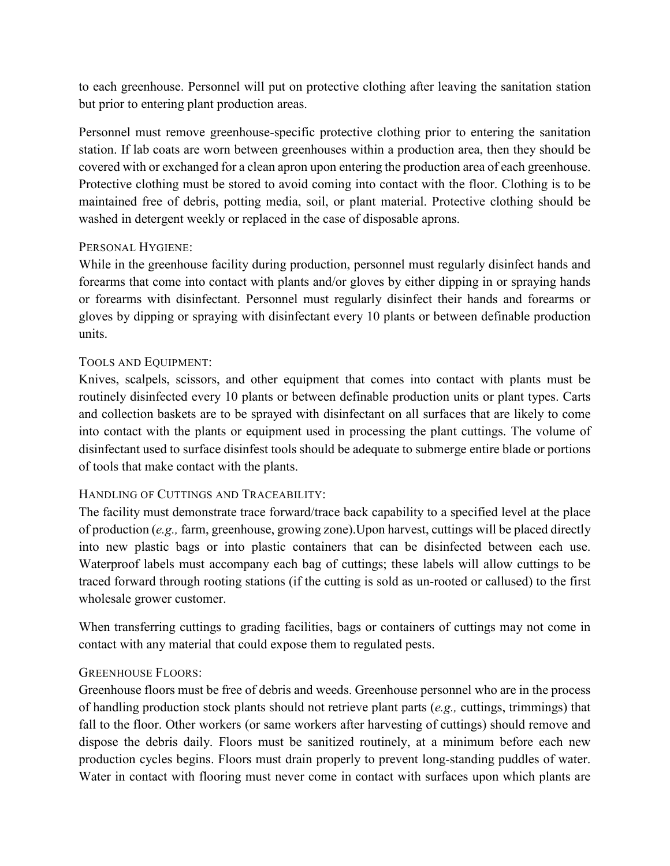to each greenhouse. Personnel will put on protective clothing after leaving the sanitation station but prior to entering plant production areas.

Personnel must remove greenhouse-specific protective clothing prior to entering the sanitation station. If lab coats are worn between greenhouses within a production area, then they should be covered with or exchanged for a clean apron upon entering the production area of each greenhouse. Protective clothing must be stored to avoid coming into contact with the floor. Clothing is to be maintained free of debris, potting media, soil, or plant material. Protective clothing should be washed in detergent weekly or replaced in the case of disposable aprons.

### PERSONAL HYGIENE:

While in the greenhouse facility during production, personnel must regularly disinfect hands and forearms that come into contact with plants and/or gloves by either dipping in or spraying hands or forearms with disinfectant. Personnel must regularly disinfect their hands and forearms or gloves by dipping or spraying with disinfectant every 10 plants or between definable production units.

#### TOOLS AND EQUIPMENT:

Knives, scalpels, scissors, and other equipment that comes into contact with plants must be routinely disinfected every 10 plants or between definable production units or plant types. Carts and collection baskets are to be sprayed with disinfectant on all surfaces that are likely to come into contact with the plants or equipment used in processing the plant cuttings. The volume of disinfectant used to surface disinfest tools should be adequate to submerge entire blade or portions of tools that make contact with the plants.

#### HANDLING OF CUTTINGS AND TRACEABILITY:

The facility must demonstrate trace forward/trace back capability to a specified level at the place of production (*e.g.,* farm, greenhouse, growing zone).Upon harvest, cuttings will be placed directly into new plastic bags or into plastic containers that can be disinfected between each use. Waterproof labels must accompany each bag of cuttings; these labels will allow cuttings to be traced forward through rooting stations (if the cutting is sold as un-rooted or callused) to the first wholesale grower customer.

When transferring cuttings to grading facilities, bags or containers of cuttings may not come in contact with any material that could expose them to regulated pests.

### GREENHOUSE FLOORS:

Greenhouse floors must be free of debris and weeds. Greenhouse personnel who are in the process of handling production stock plants should not retrieve plant parts (*e.g.,* cuttings, trimmings) that fall to the floor. Other workers (or same workers after harvesting of cuttings) should remove and dispose the debris daily. Floors must be sanitized routinely, at a minimum before each new production cycles begins. Floors must drain properly to prevent long-standing puddles of water. Water in contact with flooring must never come in contact with surfaces upon which plants are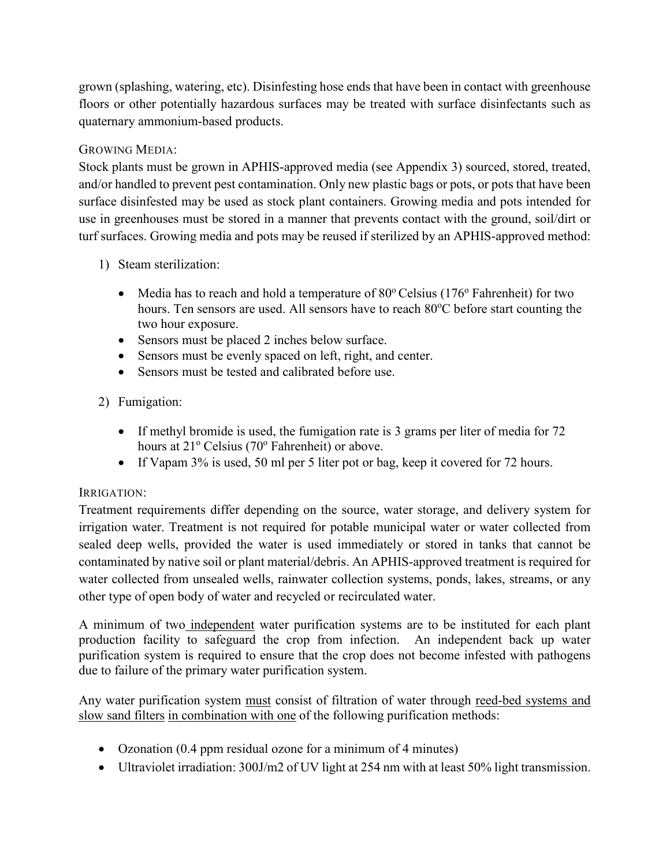grown (splashing, watering, etc). Disinfesting hose ends that have been in contact with greenhouse floors or other potentially hazardous surfaces may be treated with surface disinfectants such as quaternary ammonium-based products.

## GROWING MEDIA:

Stock plants must be grown in APHIS-approved media (see Appendix 3) sourced, stored, treated, and/or handled to prevent pest contamination. Only new plastic bags or pots, or pots that have been surface disinfested may be used as stock plant containers. Growing media and pots intended for use in greenhouses must be stored in a manner that prevents contact with the ground, soil/dirt or turf surfaces. Growing media and pots may be reused if sterilized by an APHIS-approved method:

- 1) Steam sterilization:
	- Media has to reach and hold a temperature of  $80^{\circ}$  Celsius (176 $^{\circ}$  Fahrenheit) for two hours. Ten sensors are used. All sensors have to reach 80°C before start counting the two hour exposure.
	- Sensors must be placed 2 inches below surface.
	- Sensors must be evenly spaced on left, right, and center.
	- Sensors must be tested and calibrated before use.

## 2) Fumigation:

- If methyl bromide is used, the fumigation rate is 3 grams per liter of media for 72 hours at  $21^{\circ}$  Celsius (70 $^{\circ}$  Fahrenheit) or above.
- If Vapam 3% is used, 50 ml per 5 liter pot or bag, keep it covered for 72 hours.

### IRRIGATION:

Treatment requirements differ depending on the source, water storage, and delivery system for irrigation water. Treatment is not required for potable municipal water or water collected from sealed deep wells, provided the water is used immediately or stored in tanks that cannot be contaminated by native soil or plant material/debris. An APHIS-approved treatment is required for water collected from unsealed wells, rainwater collection systems, ponds, lakes, streams, or any other type of open body of water and recycled or recirculated water.

A minimum of two independent water purification systems are to be instituted for each plant production facility to safeguard the crop from infection. An independent back up water purification system is required to ensure that the crop does not become infested with pathogens due to failure of the primary water purification system.

Any water purification system must consist of filtration of water through reed-bed systems and slow sand filters in combination with one of the following purification methods:

- Ozonation (0.4 ppm residual ozone for a minimum of 4 minutes)
- Ultraviolet irradiation: 300J/m2 of UV light at 254 nm with at least 50% light transmission.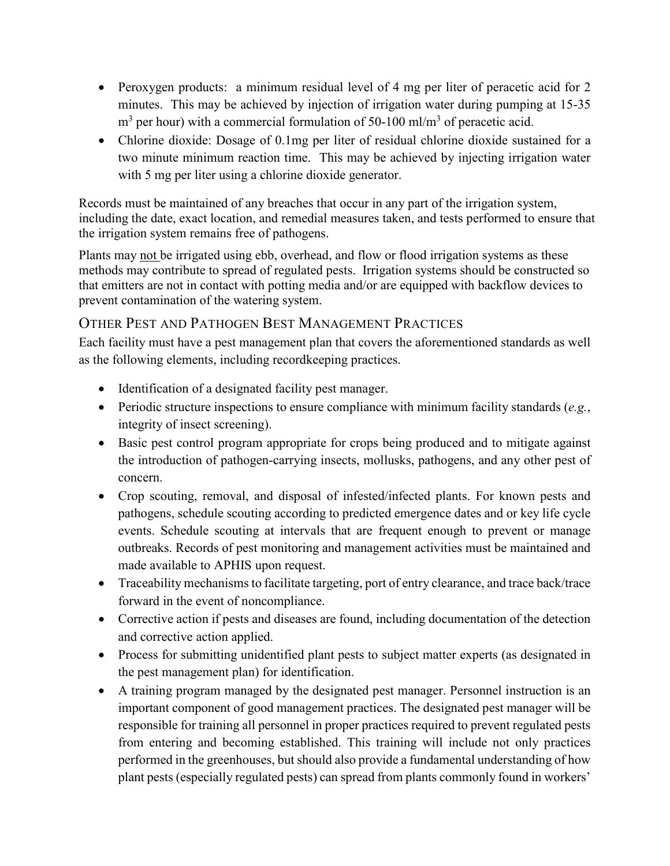- Peroxygen products: a minimum residual level of 4 mg per liter of peracetic acid for 2 minutes. This may be achieved by injection of irrigation water during pumping at 15-35  $m<sup>3</sup>$  per hour) with a commercial formulation of 50-100 ml/m<sup>3</sup> of peracetic acid.
- Chlorine dioxide: Dosage of 0.1mg per liter of residual chlorine dioxide sustained for a two minute minimum reaction time. This may be achieved by injecting irrigation water with 5 mg per liter using a chlorine dioxide generator.

Records must be maintained of any breaches that occur in any part of the irrigation system, including the date, exact location, and remedial measures taken, and tests performed to ensure that the irrigation system remains free of pathogens.

Plants may not be irrigated using ebb, overhead, and flow or flood irrigation systems as these methods may contribute to spread of regulated pests. Irrigation systems should be constructed so that emitters are not in contact with potting media and/or are equipped with backflow devices to prevent contamination of the watering system.

# OTHER PEST AND PATHOGEN BEST MANAGEMENT PRACTICES

Each facility must have a pest management plan that covers the aforementioned standards as well as the following elements, including recordkeeping practices.

- Identification of a designated facility pest manager.
- Periodic structure inspections to ensure compliance with minimum facility standards (*e.g.*, integrity of insect screening).
- Basic pest control program appropriate for crops being produced and to mitigate against the introduction of pathogen-carrying insects, mollusks, pathogens, and any other pest of concern.
- Crop scouting, removal, and disposal of infested/infected plants. For known pests and pathogens, schedule scouting according to predicted emergence dates and or key life cycle events. Schedule scouting at intervals that are frequent enough to prevent or manage outbreaks. Records of pest monitoring and management activities must be maintained and made available to APHIS upon request.
- Traceability mechanisms to facilitate targeting, port of entry clearance, and trace back/trace forward in the event of noncompliance.
- Corrective action if pests and diseases are found, including documentation of the detection and corrective action applied.
- Process for submitting unidentified plant pests to subject matter experts (as designated in the pest management plan) for identification.
- A training program managed by the designated pest manager. Personnel instruction is an important component of good management practices. The designated pest manager will be responsible for training all personnel in proper practices required to prevent regulated pests from entering and becoming established. This training will include not only practices performed in the greenhouses, but should also provide a fundamental understanding of how plant pests (especially regulated pests) can spread from plants commonly found in workers'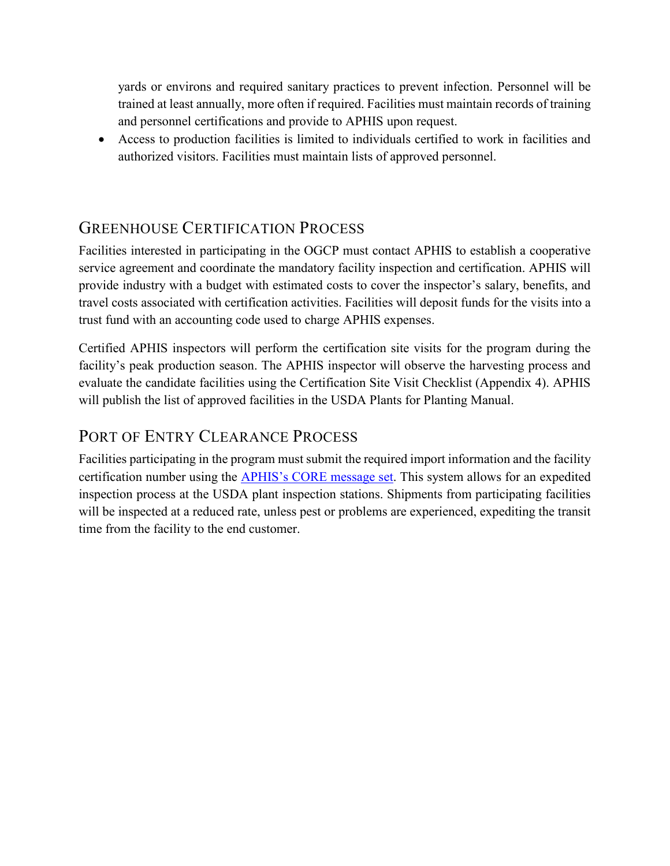yards or environs and required sanitary practices to prevent infection. Personnel will be trained at least annually, more often if required. Facilities must maintain records of training and personnel certifications and provide to APHIS upon request.

• Access to production facilities is limited to individuals certified to work in facilities and authorized visitors. Facilities must maintain lists of approved personnel.

# GREENHOUSE CERTIFICATION PROCESS

Facilities interested in participating in the OGCP must contact APHIS to establish a cooperative service agreement and coordinate the mandatory facility inspection and certification. APHIS will provide industry with a budget with estimated costs to cover the inspector's salary, benefits, and travel costs associated with certification activities. Facilities will deposit funds for the visits into a trust fund with an accounting code used to charge APHIS expenses.

Certified APHIS inspectors will perform the certification site visits for the program during the facility's peak production season. The APHIS inspector will observe the harvesting process and evaluate the candidate facilities using the Certification Site Visit Checklist (Appendix 4). APHIS will publish the list of approved facilities in the USDA Plants for Planting Manual.

# PORT OF ENTRY CLEARANCE PROCESS

<span id="page-7-0"></span>Facilities participating in the program must submit the required import information and the facility certification number using the [APHIS's CORE message set.](https://www.cbp.gov/document/guidance/aphis-ace-pga-message-set-implementation-guide-core) This system allows for an expedited inspection process at the USDA plant inspection stations. Shipments from participating facilities will be inspected at a reduced rate, unless pest or problems are experienced, expediting the transit time from the facility to the end customer.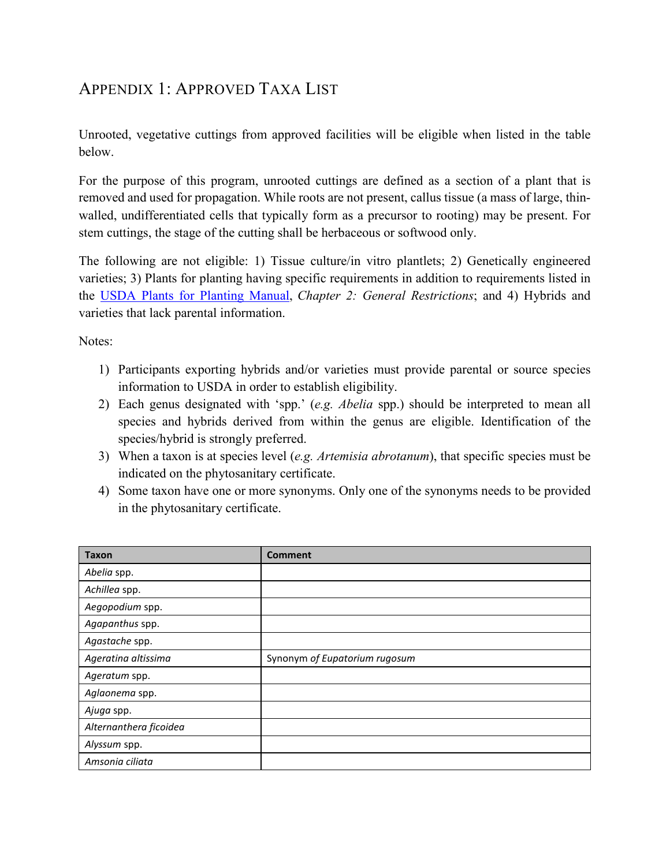# APPENDIX 1: APPROVED TAXA LIST

Unrooted, vegetative cuttings from approved facilities will be eligible when listed in the table below.

For the purpose of this program, unrooted cuttings are defined as a section of a plant that is removed and used for propagation. While roots are not present, callus tissue (a mass of large, thinwalled, undifferentiated cells that typically form as a precursor to rooting) may be present. For stem cuttings, the stage of the cutting shall be herbaceous or softwood only.

The following are not eligible: 1) Tissue culture/in vitro plantlets; 2) Genetically engineered varieties; 3) Plants for planting having specific requirements in addition to requirements listed in the [USDA Plants for Planting Manual,](https://www.aphis.usda.gov/import_export/plants/manuals/ports/downloads/plants_for_planting.pdf) *Chapter 2: General Restrictions*; and 4) Hybrids and varieties that lack parental information.

Notes:

- 1) Participants exporting hybrids and/or varieties must provide parental or source species information to USDA in order to establish eligibility.
- 2) Each genus designated with 'spp.' (*e.g. Abelia* spp.) should be interpreted to mean all species and hybrids derived from within the genus are eligible. Identification of the species/hybrid is strongly preferred.
- 3) When a taxon is at species level (*e.g. Artemisia abrotanum*), that specific species must be indicated on the phytosanitary certificate.
- 4) Some taxon have one or more synonyms. Only one of the synonyms needs to be provided in the phytosanitary certificate.

| <b>Taxon</b>           | <b>Comment</b>                |
|------------------------|-------------------------------|
| Abelia spp.            |                               |
| Achillea spp.          |                               |
| Aegopodium spp.        |                               |
| Agapanthus spp.        |                               |
| Agastache spp.         |                               |
| Ageratina altissima    | Synonym of Eupatorium rugosum |
| Ageratum spp.          |                               |
| Aglaonema spp.         |                               |
| Ajuga spp.             |                               |
| Alternanthera ficoidea |                               |
| Alyssum spp.           |                               |
| Amsonia ciliata        |                               |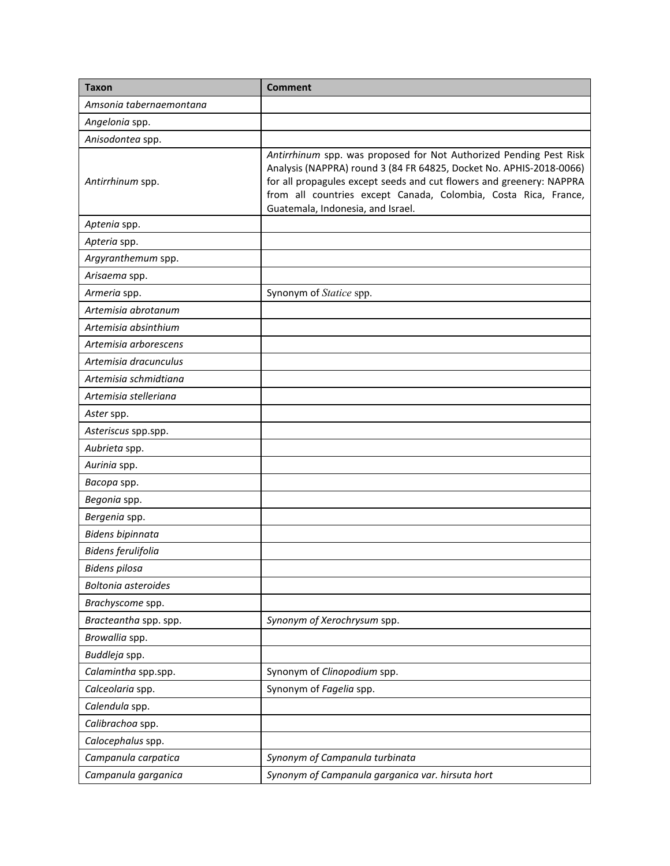| <b>Taxon</b>               | <b>Comment</b>                                                                                                                                                                                                                                                                                                            |  |  |
|----------------------------|---------------------------------------------------------------------------------------------------------------------------------------------------------------------------------------------------------------------------------------------------------------------------------------------------------------------------|--|--|
| Amsonia tabernaemontana    |                                                                                                                                                                                                                                                                                                                           |  |  |
| Angelonia spp.             |                                                                                                                                                                                                                                                                                                                           |  |  |
| Anisodontea spp.           |                                                                                                                                                                                                                                                                                                                           |  |  |
| Antirrhinum spp.           | Antirrhinum spp. was proposed for Not Authorized Pending Pest Risk<br>Analysis (NAPPRA) round 3 (84 FR 64825, Docket No. APHIS-2018-0066)<br>for all propagules except seeds and cut flowers and greenery: NAPPRA<br>from all countries except Canada, Colombia, Costa Rica, France,<br>Guatemala, Indonesia, and Israel. |  |  |
| Aptenia spp.               |                                                                                                                                                                                                                                                                                                                           |  |  |
| Apteria spp.               |                                                                                                                                                                                                                                                                                                                           |  |  |
| Argyranthemum spp.         |                                                                                                                                                                                                                                                                                                                           |  |  |
| Arisaema spp.              |                                                                                                                                                                                                                                                                                                                           |  |  |
| Armeria spp.               | Synonym of Statice spp.                                                                                                                                                                                                                                                                                                   |  |  |
| Artemisia abrotanum        |                                                                                                                                                                                                                                                                                                                           |  |  |
| Artemisia absinthium       |                                                                                                                                                                                                                                                                                                                           |  |  |
| Artemisia arborescens      |                                                                                                                                                                                                                                                                                                                           |  |  |
| Artemisia dracunculus      |                                                                                                                                                                                                                                                                                                                           |  |  |
| Artemisia schmidtiana      |                                                                                                                                                                                                                                                                                                                           |  |  |
| Artemisia stelleriana      |                                                                                                                                                                                                                                                                                                                           |  |  |
| Aster spp.                 |                                                                                                                                                                                                                                                                                                                           |  |  |
| Asteriscus spp.spp.        |                                                                                                                                                                                                                                                                                                                           |  |  |
| Aubrieta spp.              |                                                                                                                                                                                                                                                                                                                           |  |  |
| Aurinia spp.               |                                                                                                                                                                                                                                                                                                                           |  |  |
| Bacopa spp.                |                                                                                                                                                                                                                                                                                                                           |  |  |
| Begonia spp.               |                                                                                                                                                                                                                                                                                                                           |  |  |
| Bergenia spp.              |                                                                                                                                                                                                                                                                                                                           |  |  |
| Bidens bipinnata           |                                                                                                                                                                                                                                                                                                                           |  |  |
| Bidens ferulifolia         |                                                                                                                                                                                                                                                                                                                           |  |  |
| Bidens pilosa              |                                                                                                                                                                                                                                                                                                                           |  |  |
| <b>Boltonia</b> asteroides |                                                                                                                                                                                                                                                                                                                           |  |  |
| Brachyscome spp.           |                                                                                                                                                                                                                                                                                                                           |  |  |
| Bracteantha spp. spp.      | Synonym of Xerochrysum spp.                                                                                                                                                                                                                                                                                               |  |  |
| Browallia spp.             |                                                                                                                                                                                                                                                                                                                           |  |  |
| Buddleja spp.              |                                                                                                                                                                                                                                                                                                                           |  |  |
| Calamintha spp.spp.        | Synonym of Clinopodium spp.                                                                                                                                                                                                                                                                                               |  |  |
| Calceolaria spp.           | Synonym of Fagelia spp.                                                                                                                                                                                                                                                                                                   |  |  |
| Calendula spp.             |                                                                                                                                                                                                                                                                                                                           |  |  |
| Calibrachoa spp.           |                                                                                                                                                                                                                                                                                                                           |  |  |
| Calocephalus spp.          |                                                                                                                                                                                                                                                                                                                           |  |  |
| Campanula carpatica        | Synonym of Campanula turbinata                                                                                                                                                                                                                                                                                            |  |  |
| Campanula garganica        | Synonym of Campanula garganica var. hirsuta hort                                                                                                                                                                                                                                                                          |  |  |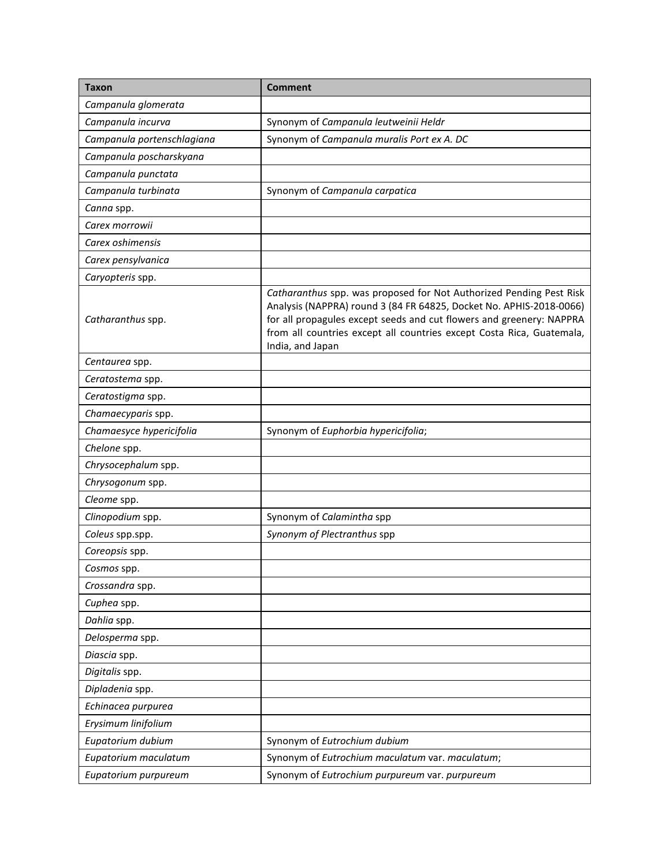| <b>Taxon</b>               | <b>Comment</b>                                                                                                                                                                                                                                                                                                  |  |  |
|----------------------------|-----------------------------------------------------------------------------------------------------------------------------------------------------------------------------------------------------------------------------------------------------------------------------------------------------------------|--|--|
| Campanula glomerata        |                                                                                                                                                                                                                                                                                                                 |  |  |
| Campanula incurva          | Synonym of Campanula leutweinii Heldr                                                                                                                                                                                                                                                                           |  |  |
| Campanula portenschlagiana | Synonym of Campanula muralis Port ex A. DC                                                                                                                                                                                                                                                                      |  |  |
| Campanula poscharskyana    |                                                                                                                                                                                                                                                                                                                 |  |  |
| Campanula punctata         |                                                                                                                                                                                                                                                                                                                 |  |  |
| Campanula turbinata        | Synonym of Campanula carpatica                                                                                                                                                                                                                                                                                  |  |  |
| Canna spp.                 |                                                                                                                                                                                                                                                                                                                 |  |  |
| Carex morrowii             |                                                                                                                                                                                                                                                                                                                 |  |  |
| Carex oshimensis           |                                                                                                                                                                                                                                                                                                                 |  |  |
| Carex pensylvanica         |                                                                                                                                                                                                                                                                                                                 |  |  |
| Caryopteris spp.           |                                                                                                                                                                                                                                                                                                                 |  |  |
| Catharanthus spp.          | Catharanthus spp. was proposed for Not Authorized Pending Pest Risk<br>Analysis (NAPPRA) round 3 (84 FR 64825, Docket No. APHIS-2018-0066)<br>for all propagules except seeds and cut flowers and greenery: NAPPRA<br>from all countries except all countries except Costa Rica, Guatemala,<br>India, and Japan |  |  |
| Centaurea spp.             |                                                                                                                                                                                                                                                                                                                 |  |  |
| Ceratostema spp.           |                                                                                                                                                                                                                                                                                                                 |  |  |
| Ceratostigma spp.          |                                                                                                                                                                                                                                                                                                                 |  |  |
| Chamaecyparis spp.         |                                                                                                                                                                                                                                                                                                                 |  |  |
| Chamaesyce hypericifolia   | Synonym of Euphorbia hypericifolia;                                                                                                                                                                                                                                                                             |  |  |
| Chelone spp.               |                                                                                                                                                                                                                                                                                                                 |  |  |
| Chrysocephalum spp.        |                                                                                                                                                                                                                                                                                                                 |  |  |
| Chrysogonum spp.           |                                                                                                                                                                                                                                                                                                                 |  |  |
| Cleome spp.                |                                                                                                                                                                                                                                                                                                                 |  |  |
| Clinopodium spp.           | Synonym of Calamintha spp                                                                                                                                                                                                                                                                                       |  |  |
| Coleus spp.spp.            | Synonym of Plectranthus spp                                                                                                                                                                                                                                                                                     |  |  |
| Coreopsis spp.             |                                                                                                                                                                                                                                                                                                                 |  |  |
| Cosmos spp.                |                                                                                                                                                                                                                                                                                                                 |  |  |
| Crossandra spp.            |                                                                                                                                                                                                                                                                                                                 |  |  |
| Cuphea spp.                |                                                                                                                                                                                                                                                                                                                 |  |  |
| Dahlia spp.                |                                                                                                                                                                                                                                                                                                                 |  |  |
| Delosperma spp.            |                                                                                                                                                                                                                                                                                                                 |  |  |
| Diascia spp.               |                                                                                                                                                                                                                                                                                                                 |  |  |
| Digitalis spp.             |                                                                                                                                                                                                                                                                                                                 |  |  |
| Dipladenia spp.            |                                                                                                                                                                                                                                                                                                                 |  |  |
| Echinacea purpurea         |                                                                                                                                                                                                                                                                                                                 |  |  |
| Erysimum linifolium        |                                                                                                                                                                                                                                                                                                                 |  |  |
| Eupatorium dubium          | Synonym of Eutrochium dubium                                                                                                                                                                                                                                                                                    |  |  |
| Eupatorium maculatum       | Synonym of Eutrochium maculatum var. maculatum;                                                                                                                                                                                                                                                                 |  |  |
| Eupatorium purpureum       | Synonym of Eutrochium purpureum var. purpureum                                                                                                                                                                                                                                                                  |  |  |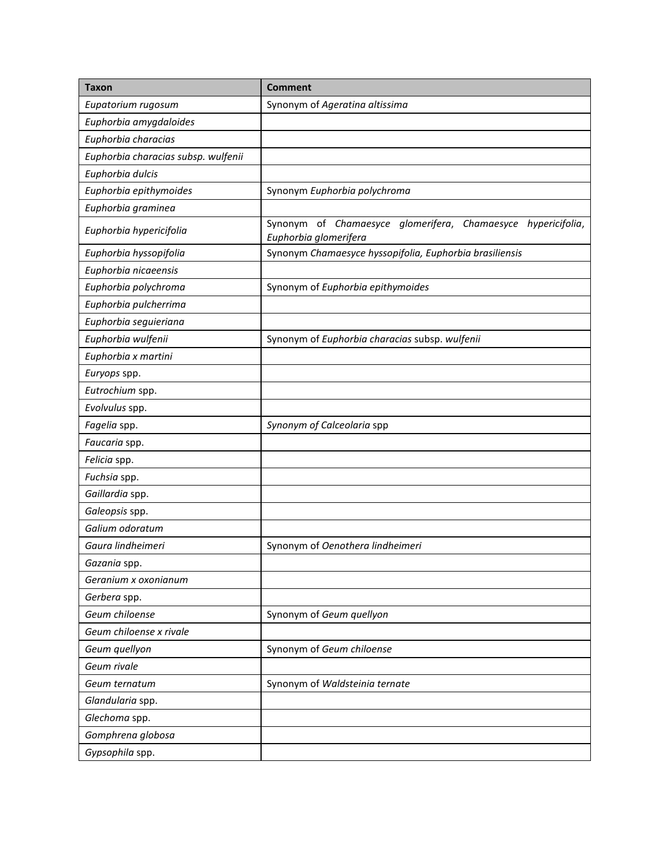| <b>Taxon</b>                        | <b>Comment</b>                                                                           |
|-------------------------------------|------------------------------------------------------------------------------------------|
| Eupatorium rugosum                  | Synonym of Ageratina altissima                                                           |
| Euphorbia amygdaloides              |                                                                                          |
| Euphorbia characias                 |                                                                                          |
| Euphorbia characias subsp. wulfenii |                                                                                          |
| Euphorbia dulcis                    |                                                                                          |
| Euphorbia epithymoides              | Synonym Euphorbia polychroma                                                             |
| Euphorbia graminea                  |                                                                                          |
| Euphorbia hypericifolia             | Synonym of Chamaesyce glomerifera, Chamaesyce<br>hypericifolia,<br>Euphorbia glomerifera |
| Euphorbia hyssopifolia              | Synonym Chamaesyce hyssopifolia, Euphorbia brasiliensis                                  |
| Euphorbia nicaeensis                |                                                                                          |
| Euphorbia polychroma                | Synonym of Euphorbia epithymoides                                                        |
| Euphorbia pulcherrima               |                                                                                          |
| Euphorbia seguieriana               |                                                                                          |
| Euphorbia wulfenii                  | Synonym of Euphorbia characias subsp. wulfenii                                           |
| Euphorbia x martini                 |                                                                                          |
| Euryops spp.                        |                                                                                          |
| Eutrochium spp.                     |                                                                                          |
| Evolvulus spp.                      |                                                                                          |
| Fagelia spp.                        | Synonym of Calceolaria spp                                                               |
| Faucaria spp.                       |                                                                                          |
| Felicia spp.                        |                                                                                          |
| Fuchsia spp.                        |                                                                                          |
| Gaillardia spp.                     |                                                                                          |
| Galeopsis spp.                      |                                                                                          |
| Galium odoratum                     |                                                                                          |
| Gaura lindheimeri                   | Synonym of Oenothera lindheimeri                                                         |
| Gazania spp.                        |                                                                                          |
| Geranium x oxonianum                |                                                                                          |
| Gerbera spp.                        |                                                                                          |
| Geum chiloense                      | Synonym of Geum quellyon                                                                 |
| Geum chiloense x rivale             |                                                                                          |
| Geum quellyon                       | Synonym of Geum chiloense                                                                |
| Geum rivale                         |                                                                                          |
| Geum ternatum                       | Synonym of Waldsteinia ternate                                                           |
| Glandularia spp.                    |                                                                                          |
| Glechoma spp.                       |                                                                                          |
| Gomphrena globosa                   |                                                                                          |
| Gypsophila spp.                     |                                                                                          |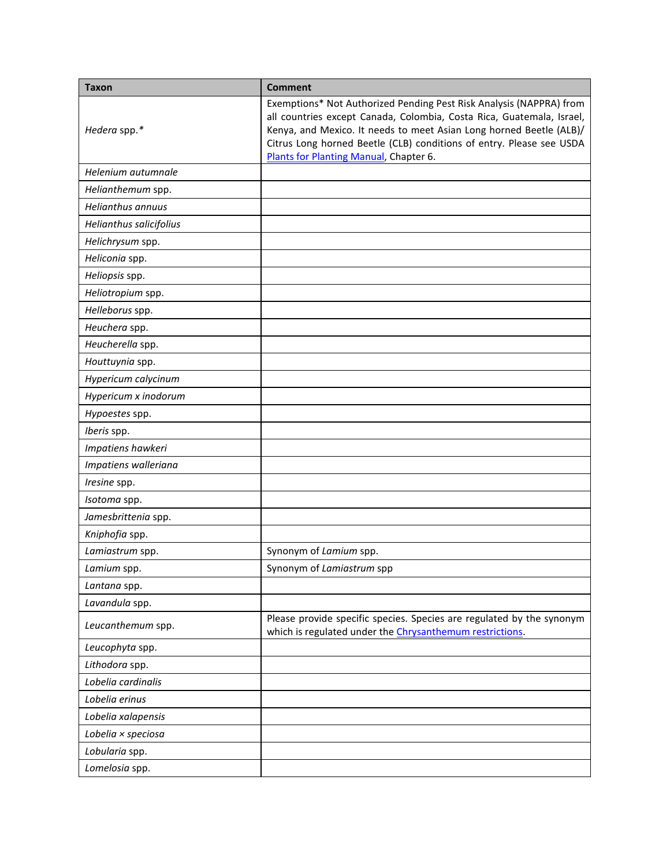| <b>Taxon</b>             | <b>Comment</b>                                                                                                                                                                                                                                                                                                                        |
|--------------------------|---------------------------------------------------------------------------------------------------------------------------------------------------------------------------------------------------------------------------------------------------------------------------------------------------------------------------------------|
| Hedera spp.*             | Exemptions* Not Authorized Pending Pest Risk Analysis (NAPPRA) from<br>all countries except Canada, Colombia, Costa Rica, Guatemala, Israel,<br>Kenya, and Mexico. It needs to meet Asian Long horned Beetle (ALB)/<br>Citrus Long horned Beetle (CLB) conditions of entry. Please see USDA<br>Plants for Planting Manual, Chapter 6. |
| Helenium autumnale       |                                                                                                                                                                                                                                                                                                                                       |
| Helianthemum spp.        |                                                                                                                                                                                                                                                                                                                                       |
| <b>Helianthus annuus</b> |                                                                                                                                                                                                                                                                                                                                       |
| Helianthus salicifolius  |                                                                                                                                                                                                                                                                                                                                       |
| Helichrysum spp.         |                                                                                                                                                                                                                                                                                                                                       |
| Heliconia spp.           |                                                                                                                                                                                                                                                                                                                                       |
| Heliopsis spp.           |                                                                                                                                                                                                                                                                                                                                       |
| Heliotropium spp.        |                                                                                                                                                                                                                                                                                                                                       |
| Helleborus spp.          |                                                                                                                                                                                                                                                                                                                                       |
| Heuchera spp.            |                                                                                                                                                                                                                                                                                                                                       |
| Heucherella spp.         |                                                                                                                                                                                                                                                                                                                                       |
| Houttuynia spp.          |                                                                                                                                                                                                                                                                                                                                       |
| Hypericum calycinum      |                                                                                                                                                                                                                                                                                                                                       |
| Hypericum x inodorum     |                                                                                                                                                                                                                                                                                                                                       |
| Hypoestes spp.           |                                                                                                                                                                                                                                                                                                                                       |
| Iberis spp.              |                                                                                                                                                                                                                                                                                                                                       |
| Impatiens hawkeri        |                                                                                                                                                                                                                                                                                                                                       |
| Impatiens walleriana     |                                                                                                                                                                                                                                                                                                                                       |
| Iresine spp.             |                                                                                                                                                                                                                                                                                                                                       |
| Isotoma spp.             |                                                                                                                                                                                                                                                                                                                                       |
| Jamesbrittenia spp.      |                                                                                                                                                                                                                                                                                                                                       |
| Kniphofia spp.           |                                                                                                                                                                                                                                                                                                                                       |
| Lamiastrum spp.          | Synonym of Lamium spp.                                                                                                                                                                                                                                                                                                                |
| Lamium spp.              | Synonym of Lamiastrum spp                                                                                                                                                                                                                                                                                                             |
| Lantana spp.             |                                                                                                                                                                                                                                                                                                                                       |
| Lavandula spp.           |                                                                                                                                                                                                                                                                                                                                       |
| Leucanthemum spp.        | Please provide specific species. Species are regulated by the synonym<br>which is regulated under the Chrysanthemum restrictions.                                                                                                                                                                                                     |
| Leucophyta spp.          |                                                                                                                                                                                                                                                                                                                                       |
| Lithodora spp.           |                                                                                                                                                                                                                                                                                                                                       |
| Lobelia cardinalis       |                                                                                                                                                                                                                                                                                                                                       |
| Lobelia erinus           |                                                                                                                                                                                                                                                                                                                                       |
| Lobelia xalapensis       |                                                                                                                                                                                                                                                                                                                                       |
| Lobelia × speciosa       |                                                                                                                                                                                                                                                                                                                                       |
| Lobularia spp.           |                                                                                                                                                                                                                                                                                                                                       |
| Lomelosia spp.           |                                                                                                                                                                                                                                                                                                                                       |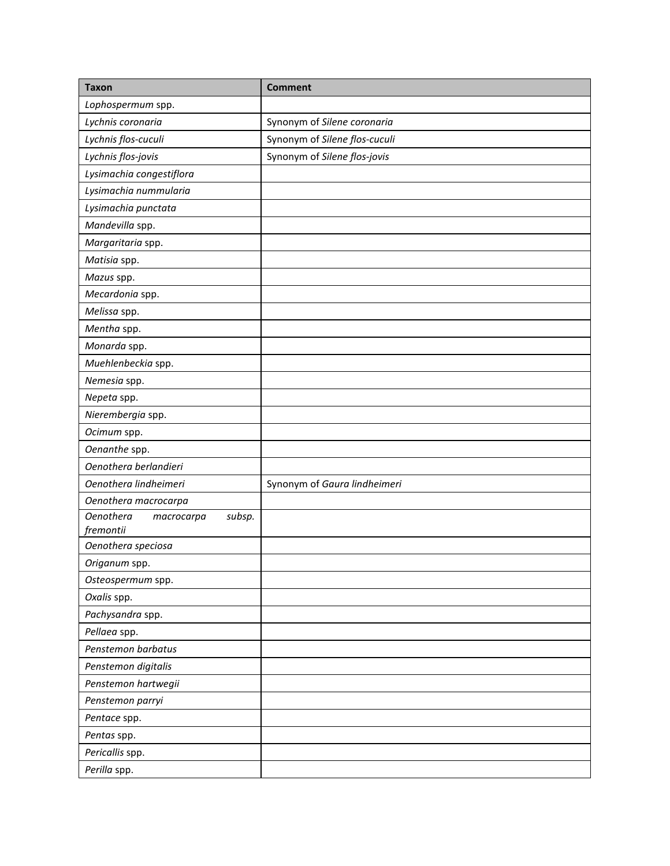| <b>Taxon</b>                             | <b>Comment</b>                |
|------------------------------------------|-------------------------------|
| Lophospermum spp.                        |                               |
| Lychnis coronaria                        | Synonym of Silene coronaria   |
| Lychnis flos-cuculi                      | Synonym of Silene flos-cuculi |
| Lychnis flos-jovis                       | Synonym of Silene flos-jovis  |
| Lysimachia congestiflora                 |                               |
| Lysimachia nummularia                    |                               |
| Lysimachia punctata                      |                               |
| Mandevilla spp.                          |                               |
| Margaritaria spp.                        |                               |
| Matisia spp.                             |                               |
| Mazus spp.                               |                               |
| Mecardonia spp.                          |                               |
| Melissa spp.                             |                               |
| Mentha spp.                              |                               |
| Monarda spp.                             |                               |
| Muehlenbeckia spp.                       |                               |
| Nemesia spp.                             |                               |
| Nepeta spp.                              |                               |
| Nierembergia spp.                        |                               |
| Ocimum spp.                              |                               |
| Oenanthe spp.                            |                               |
| Oenothera berlandieri                    |                               |
| Oenothera lindheimeri                    | Synonym of Gaura lindheimeri  |
| Oenothera macrocarpa                     |                               |
| <b>Oenothera</b><br>subsp.<br>macrocarpa |                               |
| fremontii                                |                               |
| Oenothera speciosa                       |                               |
| Origanum spp.                            |                               |
| Osteospermum spp.                        |                               |
| Oxalis spp.                              |                               |
| Pachysandra spp.                         |                               |
| Pellaea spp.                             |                               |
| Penstemon barbatus                       |                               |
| Penstemon digitalis                      |                               |
| Penstemon hartwegii                      |                               |
| Penstemon parryi                         |                               |
| Pentace spp.                             |                               |
| Pentas spp.                              |                               |
| Pericallis spp.                          |                               |
| Perilla spp.                             |                               |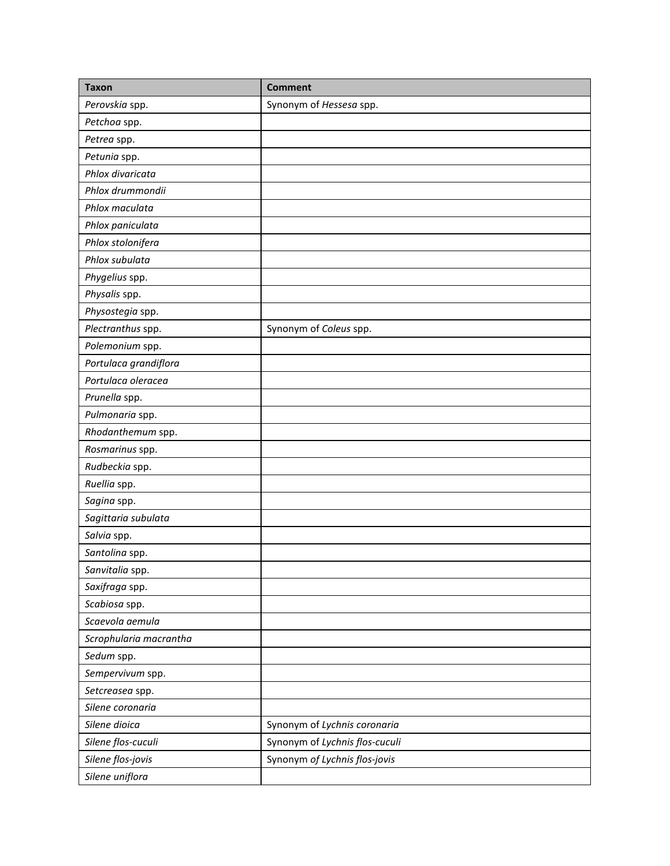| <b>Taxon</b>           | <b>Comment</b>                 |
|------------------------|--------------------------------|
| Perovskia spp.         | Synonym of Hessesa spp.        |
| Petchoa spp.           |                                |
| Petrea spp.            |                                |
| Petunia spp.           |                                |
| Phlox divaricata       |                                |
| Phlox drummondii       |                                |
| Phlox maculata         |                                |
| Phlox paniculata       |                                |
| Phlox stolonifera      |                                |
| Phlox subulata         |                                |
| Phygelius spp.         |                                |
| Physalis spp.          |                                |
| Physostegia spp.       |                                |
| Plectranthus spp.      | Synonym of Coleus spp.         |
| Polemonium spp.        |                                |
| Portulaca grandiflora  |                                |
| Portulaca oleracea     |                                |
| Prunella spp.          |                                |
| Pulmonaria spp.        |                                |
| Rhodanthemum spp.      |                                |
| Rosmarinus spp.        |                                |
| Rudbeckia spp.         |                                |
| Ruellia spp.           |                                |
| Sagina spp.            |                                |
| Sagittaria subulata    |                                |
| Salvia spp.            |                                |
| Santolina spp.         |                                |
| Sanvitalia spp.        |                                |
| Saxifraga spp.         |                                |
| Scabiosa spp.          |                                |
| Scaevola aemula        |                                |
| Scrophularia macrantha |                                |
| Sedum spp.             |                                |
| Sempervivum spp.       |                                |
| Setcreasea spp.        |                                |
| Silene coronaria       |                                |
| Silene dioica          | Synonym of Lychnis coronaria   |
| Silene flos-cuculi     | Synonym of Lychnis flos-cuculi |
| Silene flos-jovis      | Synonym of Lychnis flos-jovis  |
| Silene uniflora        |                                |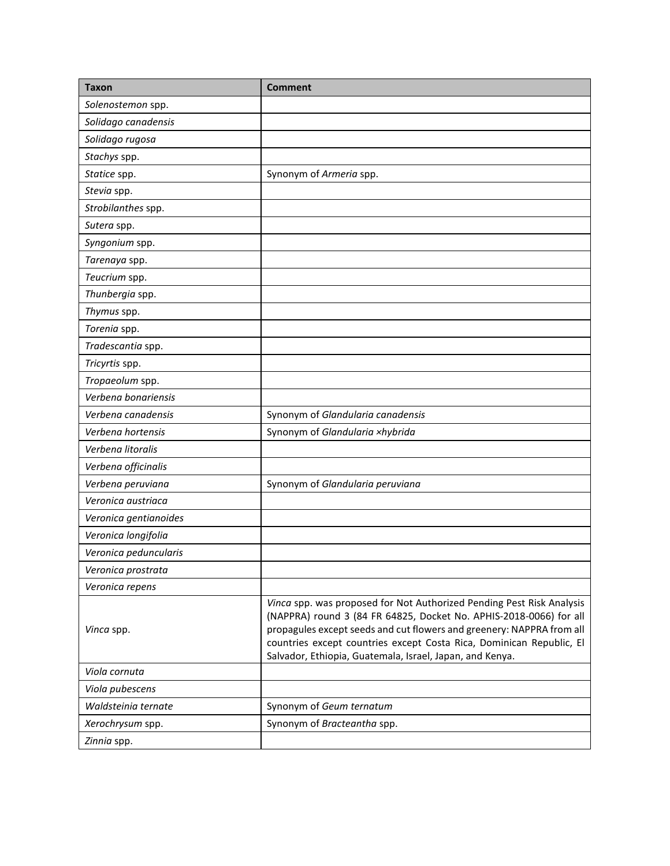| <b>Taxon</b>          | <b>Comment</b>                                                                                                                                                                                                                                                                                                                                           |
|-----------------------|----------------------------------------------------------------------------------------------------------------------------------------------------------------------------------------------------------------------------------------------------------------------------------------------------------------------------------------------------------|
| Solenostemon spp.     |                                                                                                                                                                                                                                                                                                                                                          |
| Solidago canadensis   |                                                                                                                                                                                                                                                                                                                                                          |
| Solidago rugosa       |                                                                                                                                                                                                                                                                                                                                                          |
| Stachys spp.          |                                                                                                                                                                                                                                                                                                                                                          |
| Statice spp.          | Synonym of Armeria spp.                                                                                                                                                                                                                                                                                                                                  |
| Stevia spp.           |                                                                                                                                                                                                                                                                                                                                                          |
| Strobilanthes spp.    |                                                                                                                                                                                                                                                                                                                                                          |
| Sutera spp.           |                                                                                                                                                                                                                                                                                                                                                          |
| Syngonium spp.        |                                                                                                                                                                                                                                                                                                                                                          |
| Tarenaya spp.         |                                                                                                                                                                                                                                                                                                                                                          |
| Teucrium spp.         |                                                                                                                                                                                                                                                                                                                                                          |
| Thunbergia spp.       |                                                                                                                                                                                                                                                                                                                                                          |
| Thymus spp.           |                                                                                                                                                                                                                                                                                                                                                          |
| Torenia spp.          |                                                                                                                                                                                                                                                                                                                                                          |
| Tradescantia spp.     |                                                                                                                                                                                                                                                                                                                                                          |
| Tricyrtis spp.        |                                                                                                                                                                                                                                                                                                                                                          |
| Tropaeolum spp.       |                                                                                                                                                                                                                                                                                                                                                          |
| Verbena bonariensis   |                                                                                                                                                                                                                                                                                                                                                          |
| Verbena canadensis    | Synonym of Glandularia canadensis                                                                                                                                                                                                                                                                                                                        |
| Verbena hortensis     | Synonym of Glandularia xhybrida                                                                                                                                                                                                                                                                                                                          |
| Verbena litoralis     |                                                                                                                                                                                                                                                                                                                                                          |
| Verbena officinalis   |                                                                                                                                                                                                                                                                                                                                                          |
| Verbena peruviana     | Synonym of Glandularia peruviana                                                                                                                                                                                                                                                                                                                         |
| Veronica austriaca    |                                                                                                                                                                                                                                                                                                                                                          |
| Veronica gentianoides |                                                                                                                                                                                                                                                                                                                                                          |
| Veronica longifolia   |                                                                                                                                                                                                                                                                                                                                                          |
| Veronica peduncularis |                                                                                                                                                                                                                                                                                                                                                          |
| Veronica prostrata    |                                                                                                                                                                                                                                                                                                                                                          |
| Veronica repens       |                                                                                                                                                                                                                                                                                                                                                          |
| Vinca spp.            | Vinca spp. was proposed for Not Authorized Pending Pest Risk Analysis<br>(NAPPRA) round 3 (84 FR 64825, Docket No. APHIS-2018-0066) for all<br>propagules except seeds and cut flowers and greenery: NAPPRA from all<br>countries except countries except Costa Rica, Dominican Republic, El<br>Salvador, Ethiopia, Guatemala, Israel, Japan, and Kenya. |
| Viola cornuta         |                                                                                                                                                                                                                                                                                                                                                          |
| Viola pubescens       |                                                                                                                                                                                                                                                                                                                                                          |
| Waldsteinia ternate   | Synonym of Geum ternatum                                                                                                                                                                                                                                                                                                                                 |
| Xerochrysum spp.      | Synonym of Bracteantha spp.                                                                                                                                                                                                                                                                                                                              |
| Zinnia spp.           |                                                                                                                                                                                                                                                                                                                                                          |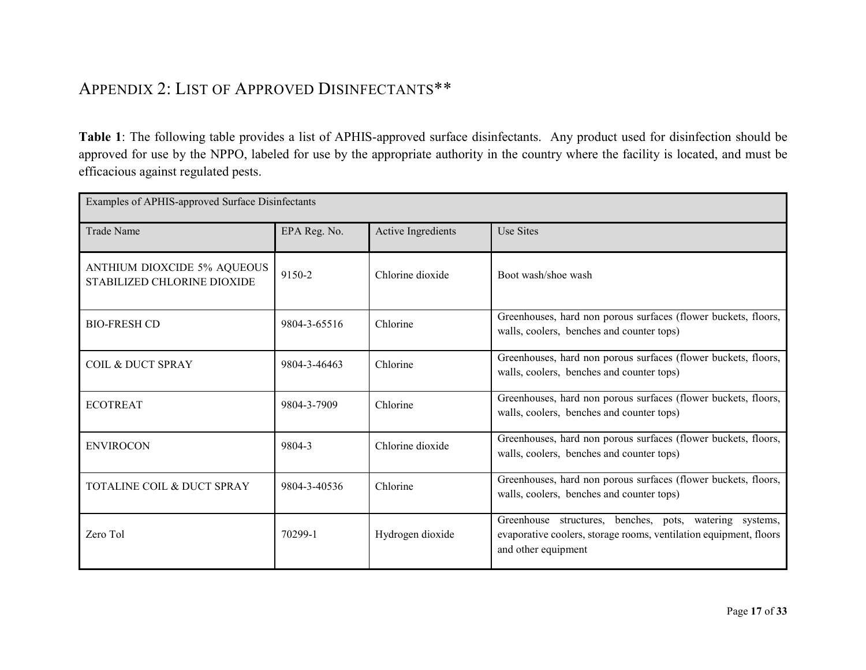# APPENDIX 2: LIST OF APPROVED DISINFECTANTS\*\*

**Table 1**: The following table provides a list of APHIS-approved surface disinfectants. Any product used for disinfection should be approved for use by the NPPO, labeled for use by the appropriate authority in the country where the facility is located, and must be efficacious against regulated pests.

<span id="page-16-0"></span>

| Examples of APHIS-approved Surface Disinfectants           |              |                    |                                                                                                                                                     |
|------------------------------------------------------------|--------------|--------------------|-----------------------------------------------------------------------------------------------------------------------------------------------------|
| <b>Trade Name</b>                                          | EPA Reg. No. | Active Ingredients | Use Sites                                                                                                                                           |
| ANTHIUM DIOXCIDE 5% AQUEOUS<br>STABILIZED CHLORINE DIOXIDE | 9150-2       | Chlorine dioxide   | Boot wash/shoe wash                                                                                                                                 |
| <b>BIO-FRESH CD</b>                                        | 9804-3-65516 | Chlorine           | Greenhouses, hard non porous surfaces (flower buckets, floors,<br>walls, coolers, benches and counter tops)                                         |
| <b>COIL &amp; DUCT SPRAY</b>                               | 9804-3-46463 | Chlorine           | Greenhouses, hard non porous surfaces (flower buckets, floors,<br>walls, coolers, benches and counter tops)                                         |
| <b>ECOTREAT</b>                                            | 9804-3-7909  | Chlorine           | Greenhouses, hard non porous surfaces (flower buckets, floors,<br>walls, coolers, benches and counter tops)                                         |
| <b>ENVIROCON</b>                                           | 9804-3       | Chlorine dioxide   | Greenhouses, hard non porous surfaces (flower buckets, floors,<br>walls, coolers, benches and counter tops)                                         |
| TOTALINE COIL & DUCT SPRAY                                 | 9804-3-40536 | Chlorine           | Greenhouses, hard non porous surfaces (flower buckets, floors,<br>walls, coolers, benches and counter tops)                                         |
| Zero Tol                                                   | 70299-1      | Hydrogen dioxide   | Greenhouse structures, benches, pots, watering systems,<br>evaporative coolers, storage rooms, ventilation equipment, floors<br>and other equipment |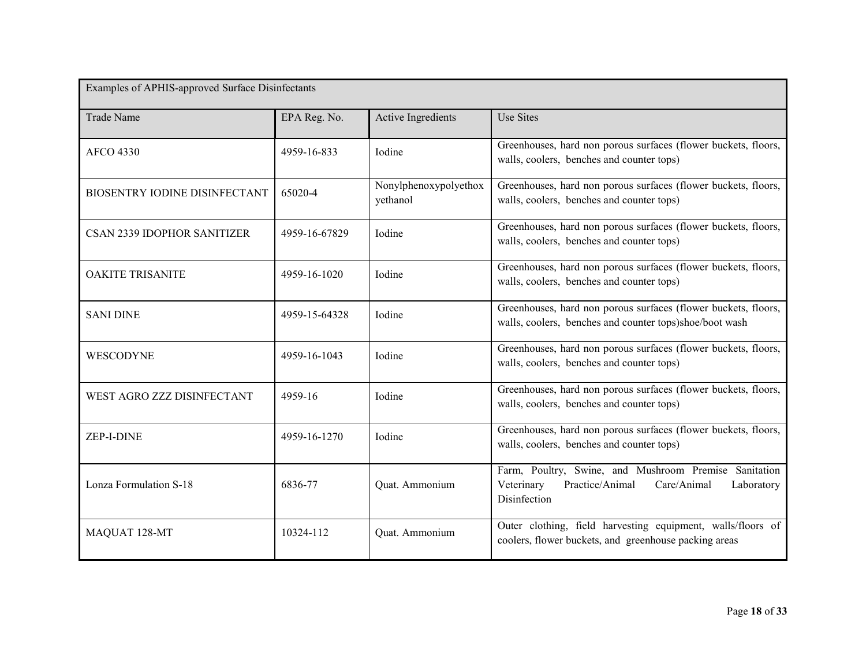| Examples of APHIS-approved Surface Disinfectants |               |                                   |                                                                                                                                     |
|--------------------------------------------------|---------------|-----------------------------------|-------------------------------------------------------------------------------------------------------------------------------------|
| <b>Trade Name</b>                                | EPA Reg. No.  | Active Ingredients                | <b>Use Sites</b>                                                                                                                    |
| <b>AFCO 4330</b>                                 | 4959-16-833   | <b>I</b> odine                    | Greenhouses, hard non porous surfaces (flower buckets, floors,<br>walls, coolers, benches and counter tops)                         |
| BIOSENTRY IODINE DISINFECTANT                    | 65020-4       | Nonylphenoxypolyethox<br>yethanol | Greenhouses, hard non porous surfaces (flower buckets, floors,<br>walls, coolers, benches and counter tops)                         |
| <b>CSAN 2339 IDOPHOR SANITIZER</b>               | 4959-16-67829 | Iodine                            | Greenhouses, hard non porous surfaces (flower buckets, floors,<br>walls, coolers, benches and counter tops)                         |
| <b>OAKITE TRISANITE</b>                          | 4959-16-1020  | <b>Iodine</b>                     | Greenhouses, hard non porous surfaces (flower buckets, floors,<br>walls, coolers, benches and counter tops)                         |
| <b>SANI DINE</b>                                 | 4959-15-64328 | Iodine                            | Greenhouses, hard non porous surfaces (flower buckets, floors,<br>walls, coolers, benches and counter tops)shoe/boot wash           |
| WESCODYNE                                        | 4959-16-1043  | Iodine                            | Greenhouses, hard non porous surfaces (flower buckets, floors,<br>walls, coolers, benches and counter tops)                         |
| WEST AGRO ZZZ DISINFECTANT                       | 4959-16       | Iodine                            | Greenhouses, hard non porous surfaces (flower buckets, floors,<br>walls, coolers, benches and counter tops)                         |
| ZEP-I-DINE                                       | 4959-16-1270  | Iodine                            | Greenhouses, hard non porous surfaces (flower buckets, floors,<br>walls, coolers, benches and counter tops)                         |
| Lonza Formulation S-18                           | 6836-77       | Quat. Ammonium                    | Farm, Poultry, Swine, and Mushroom Premise Sanitation<br>Veterinary<br>Practice/Animal<br>Care/Animal<br>Laboratory<br>Disinfection |
| MAQUAT 128-MT                                    | 10324-112     | Quat. Ammonium                    | Outer clothing, field harvesting equipment, walls/floors of<br>coolers, flower buckets, and greenhouse packing areas                |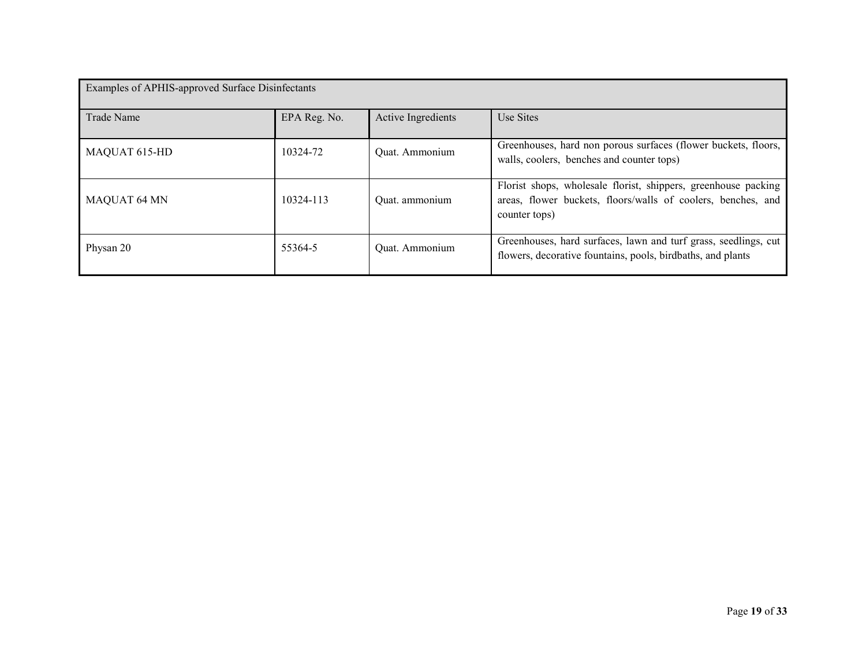| Examples of APHIS-approved Surface Disinfectants |              |                    |                                                                                                                                                 |
|--------------------------------------------------|--------------|--------------------|-------------------------------------------------------------------------------------------------------------------------------------------------|
| <b>Trade Name</b>                                | EPA Reg. No. | Active Ingredients | Use Sites                                                                                                                                       |
| MAQUAT 615-HD                                    | 10324-72     | Quat. Ammonium     | Greenhouses, hard non porous surfaces (flower buckets, floors,<br>walls, coolers, benches and counter tops)                                     |
| <b>MAQUAT 64 MN</b>                              | 10324-113    | Quat. ammonium     | Florist shops, wholesale florist, shippers, greenhouse packing<br>areas, flower buckets, floors/walls of coolers, benches, and<br>counter tops) |
| Physan 20                                        | 55364-5      | Quat. Ammonium     | Greenhouses, hard surfaces, lawn and turf grass, seedlings, cut<br>flowers, decorative fountains, pools, birdbaths, and plants                  |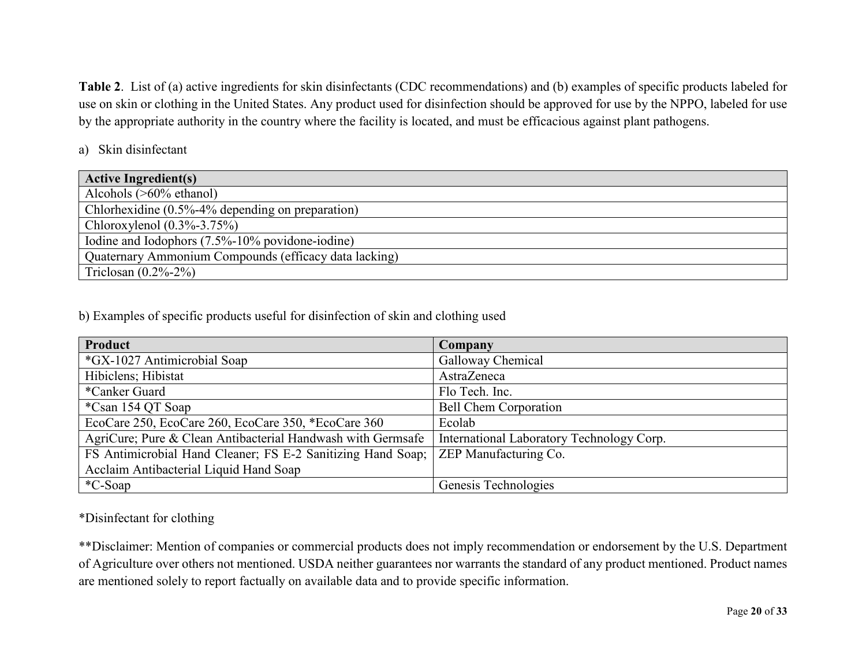**Table 2**. List of (a) active ingredients for skin disinfectants (CDC recommendations) and (b) examples of specific products labeled for use on skin or clothing in the United States. Any product used for disinfection should be approved for use by the NPPO, labeled for use by the appropriate authority in the country where the facility is located, and must be efficacious against plant pathogens.

#### a) Skin disinfectant

| <b>Active Ingredient(s)</b>                           |
|-------------------------------------------------------|
| Alcohols $($ >60% ethanol)                            |
| Chlorhexidine (0.5%-4% depending on preparation)      |
| Chloroxylenol $(0.3\% - 3.75\%)$                      |
| Iodine and Iodophors (7.5%-10% povidone-iodine)       |
| Quaternary Ammonium Compounds (efficacy data lacking) |
| Triclosan $(0.2\% - 2\%)$                             |

b) Examples of specific products useful for disinfection of skin and clothing used

| <b>Product</b>                                              | <b>Company</b>                            |
|-------------------------------------------------------------|-------------------------------------------|
| *GX-1027 Antimicrobial Soap                                 | Galloway Chemical                         |
| Hibiclens; Hibistat                                         | AstraZeneca                               |
| *Canker Guard                                               | Flo Tech. Inc.                            |
| *Csan 154 QT Soap                                           | <b>Bell Chem Corporation</b>              |
| EcoCare 250, EcoCare 260, EcoCare 350, *EcoCare 360         | Ecolab                                    |
| AgriCure; Pure & Clean Antibacterial Handwash with Germsafe | International Laboratory Technology Corp. |
| FS Antimicrobial Hand Cleaner; FS E-2 Sanitizing Hand Soap; | <b>ZEP Manufacturing Co.</b>              |
| Acclaim Antibacterial Liquid Hand Soap                      |                                           |
| *C-Soap                                                     | Genesis Technologies                      |

\*Disinfectant for clothing

<span id="page-19-0"></span>\*\*Disclaimer: Mention of companies or commercial products does not imply recommendation or endorsement by the U.S. Department of Agriculture over others not mentioned. USDA neither guarantees nor warrants the standard of any product mentioned. Product names are mentioned solely to report factually on available data and to provide specific information.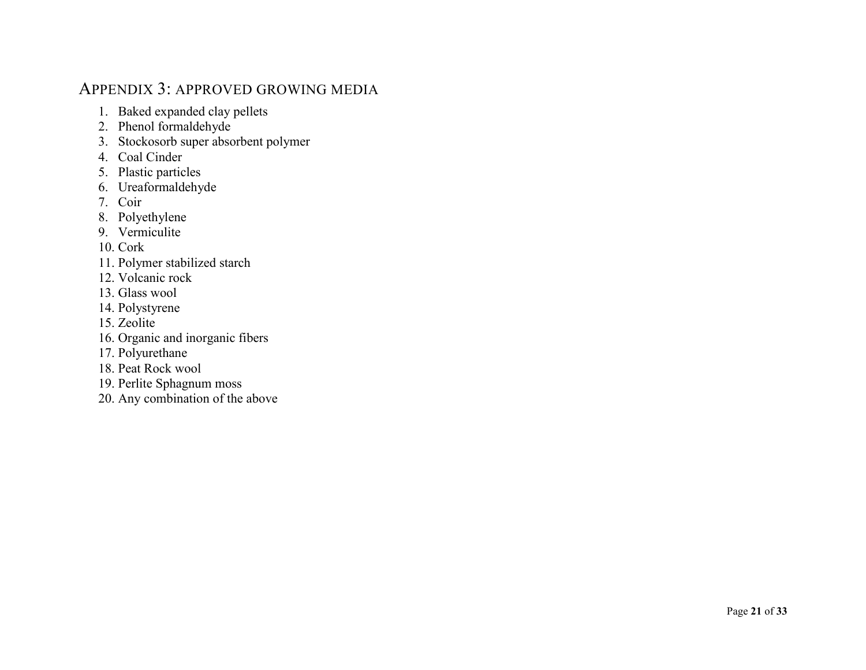# APPENDIX 3: APPROVED GROWING MEDIA

- 1. Baked expanded clay pellets
- 2. Phenol formaldehyde
- 3. Stockosorb super absorbent polymer
- 4. Coal Cinder
- 5. Plastic particles
- 6. Ureaformaldehyde
- 7. Coir
- 8. Polyethylene
- 9. Vermiculite
- 10. Cork
- 11. Polymer stabilized starch
- 12. Volcanic rock
- 13. Glass wool
- 14. Polystyrene
- 15. Zeolite
- 16. Organic and inorganic fibers
- 17. Polyurethane
- 18. Peat Rock wool
- 19. Perlite Sphagnum moss
- 20. Any combination of the above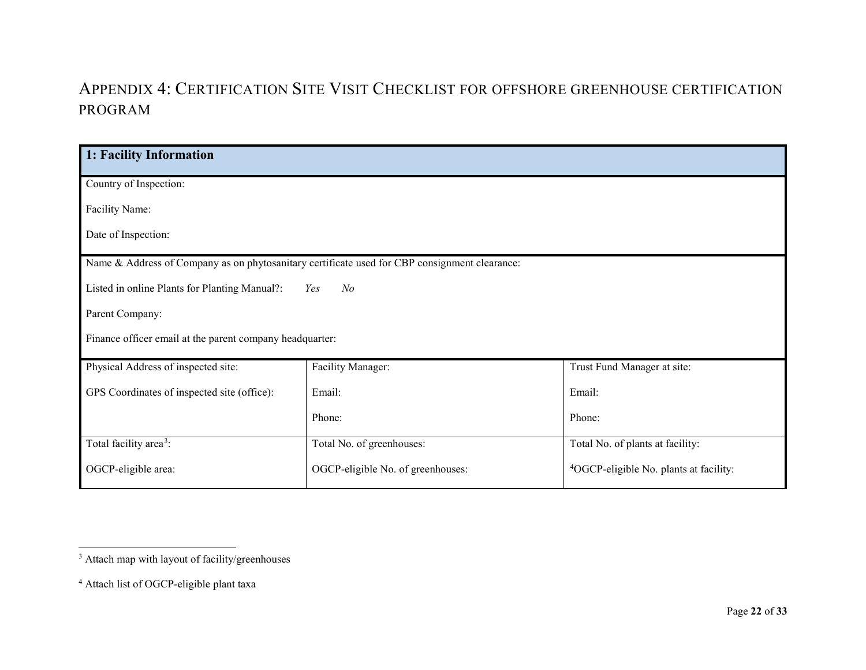# <span id="page-21-1"></span><span id="page-21-0"></span>APPENDIX 4: CERTIFICATION SITE VISIT CHECKLIST FOR OFFSHORE GREENHOUSE CERTIFICATION PROGRAM

| 1: Facility Information                                                                       |                                   |                                                    |  |
|-----------------------------------------------------------------------------------------------|-----------------------------------|----------------------------------------------------|--|
|                                                                                               |                                   |                                                    |  |
| Country of Inspection:                                                                        |                                   |                                                    |  |
| Facility Name:                                                                                |                                   |                                                    |  |
| Date of Inspection:                                                                           |                                   |                                                    |  |
| Name & Address of Company as on phytosanitary certificate used for CBP consignment clearance: |                                   |                                                    |  |
| Listed in online Plants for Planting Manual?:<br>N <sub>o</sub><br>Yes                        |                                   |                                                    |  |
| Parent Company:                                                                               |                                   |                                                    |  |
| Finance officer email at the parent company headquarter:                                      |                                   |                                                    |  |
| Physical Address of inspected site:                                                           | Facility Manager:                 | Trust Fund Manager at site:                        |  |
| GPS Coordinates of inspected site (office):                                                   | Email:                            | Email:                                             |  |
|                                                                                               | Phone:                            | Phone:                                             |  |
| Total facility area <sup>3</sup> :                                                            | Total No. of greenhouses:         | Total No. of plants at facility:                   |  |
| OGCP-eligible area:                                                                           | OGCP-eligible No. of greenhouses: | <sup>4</sup> OGCP-eligible No. plants at facility: |  |

<sup>&</sup>lt;sup>3</sup> Attach map with layout of facility/greenhouses

<sup>4</sup> Attach list of OGCP-eligible plant taxa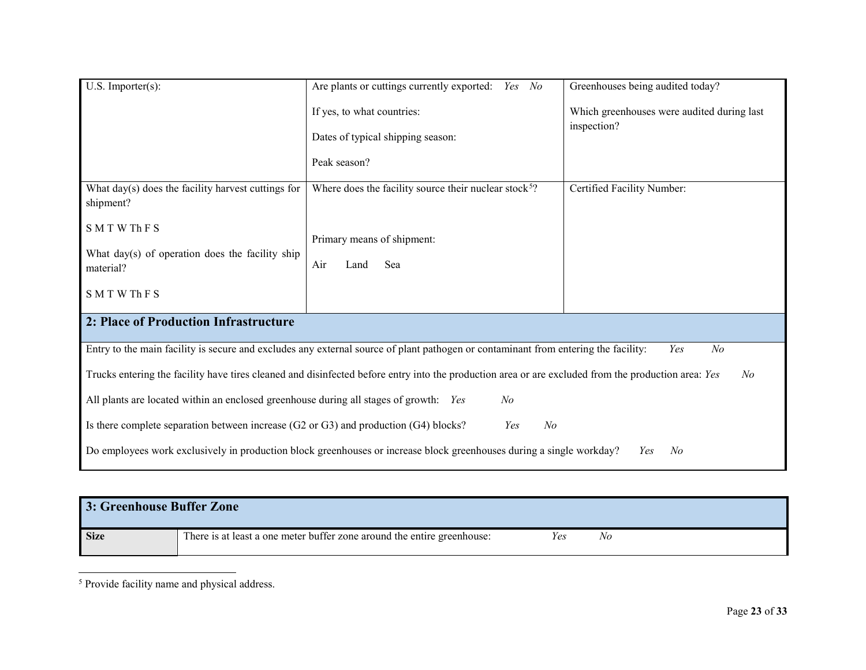<span id="page-22-0"></span>

| $U.S.$ Importer $(s)$ :                                                                                                                                   | Are plants or cuttings currently exported:<br>Yes No                                                                               | Greenhouses being audited today?           |  |
|-----------------------------------------------------------------------------------------------------------------------------------------------------------|------------------------------------------------------------------------------------------------------------------------------------|--------------------------------------------|--|
|                                                                                                                                                           | If yes, to what countries:                                                                                                         | Which greenhouses were audited during last |  |
|                                                                                                                                                           | Dates of typical shipping season:                                                                                                  | inspection?                                |  |
|                                                                                                                                                           | Peak season?                                                                                                                       |                                            |  |
| What day(s) does the facility harvest cuttings for<br>shipment?                                                                                           | Where does the facility source their nuclear stock <sup>5</sup> ?                                                                  | Certified Facility Number:                 |  |
| <b>SMTWThFS</b>                                                                                                                                           | Primary means of shipment:                                                                                                         |                                            |  |
| What day(s) of operation does the facility ship<br>material?                                                                                              | Air<br>Sea<br>Land                                                                                                                 |                                            |  |
| <b>SMTWThFS</b>                                                                                                                                           |                                                                                                                                    |                                            |  |
| 2: Place of Production Infrastructure                                                                                                                     |                                                                                                                                    |                                            |  |
|                                                                                                                                                           | Entry to the main facility is secure and excludes any external source of plant pathogen or contaminant from entering the facility: | Yes<br>N <sub>o</sub>                      |  |
| Trucks entering the facility have tires cleaned and disinfected before entry into the production area or are excluded from the production area: Yes<br>No |                                                                                                                                    |                                            |  |
| All plants are located within an enclosed greenhouse during all stages of growth: Yes<br>No                                                               |                                                                                                                                    |                                            |  |
| Is there complete separation between increase (G2 or G3) and production (G4) blocks?<br>N <sub>o</sub><br>Yes                                             |                                                                                                                                    |                                            |  |
| Do employees work exclusively in production block greenhouses or increase block greenhouses during a single workday?<br>No<br>Yes                         |                                                                                                                                    |                                            |  |

| 3: Greenhouse Buffer Zone |                                                                         |     |    |  |
|---------------------------|-------------------------------------------------------------------------|-----|----|--|
| <b>Size</b>               | There is at least a one meter buffer zone around the entire greenhouse: | Yes | Nο |  |

 <sup>5</sup> Provide facility name and physical address.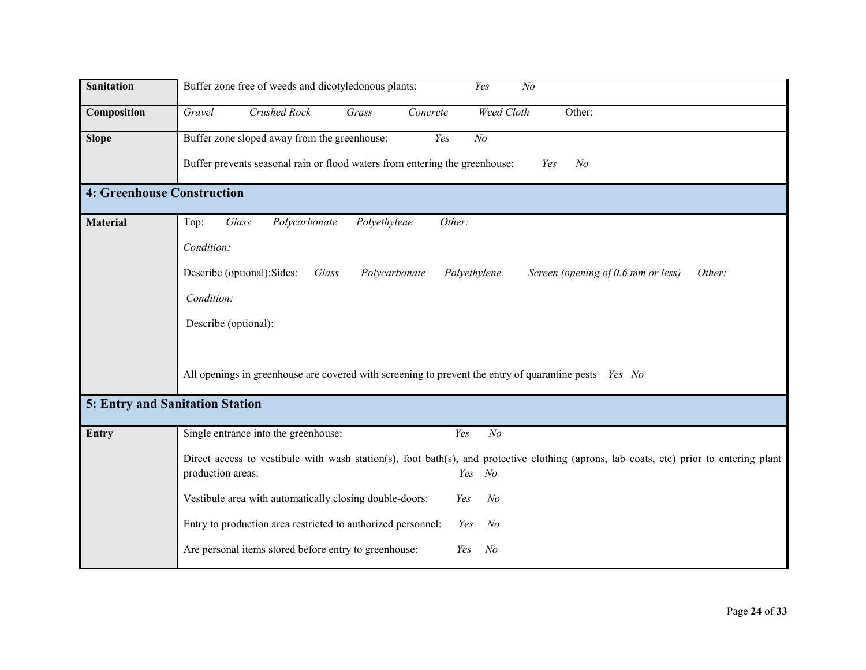| <b>Sanitation</b>                      | Buffer zone free of weeds and dicotyledonous plants:<br>N <sub>o</sub><br>Yes                                                                                             |
|----------------------------------------|---------------------------------------------------------------------------------------------------------------------------------------------------------------------------|
| Composition                            | <b>Crushed Rock</b><br>Weed Cloth<br>Gravel<br>Grass<br>Concrete<br>Other:                                                                                                |
| <b>Slope</b>                           | Buffer zone sloped away from the greenhouse:<br>Yes<br>N <sub>o</sub>                                                                                                     |
|                                        | Buffer prevents seasonal rain or flood waters from entering the greenhouse:<br>N <sub>o</sub><br>Yes                                                                      |
| <b>4: Greenhouse Construction</b>      |                                                                                                                                                                           |
| <b>Material</b>                        | Glass<br>Polycarbonate<br>Polyethylene<br>Other:<br>Top:                                                                                                                  |
|                                        | Condition:                                                                                                                                                                |
|                                        | Describe (optional): Sides:<br>Glass<br>Polycarbonate<br>Polyethylene<br>Screen (opening of 0.6 mm or less)<br>Other:                                                     |
|                                        | Condition:                                                                                                                                                                |
|                                        | Describe (optional):                                                                                                                                                      |
|                                        |                                                                                                                                                                           |
|                                        | All openings in greenhouse are covered with screening to prevent the entry of quarantine pests <i>Yes No</i>                                                              |
| <b>5: Entry and Sanitation Station</b> |                                                                                                                                                                           |
| Entry                                  | $N$ o<br>Single entrance into the greenhouse:<br>Yes                                                                                                                      |
|                                        | Direct access to vestibule with wash station(s), foot bath(s), and protective clothing (aprons, lab coats, etc) prior to entering plant<br>production areas:<br>Yes<br>No |
|                                        | Vestibule area with automatically closing double-doors:<br>N <sub>o</sub><br>Yes                                                                                          |
|                                        | Entry to production area restricted to authorized personnel:<br>$N$ o<br>Yes                                                                                              |
|                                        | Are personal items stored before entry to greenhouse:<br>$N$ o<br>Yes                                                                                                     |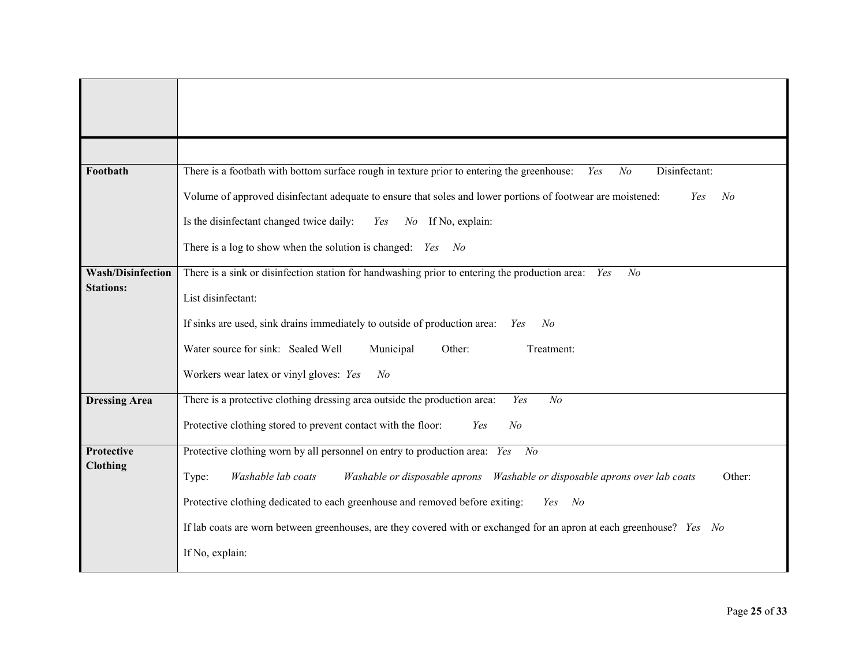| Footbath                 | There is a footbath with bottom surface rough in texture prior to entering the greenhouse:<br>Disinfectant:<br>$N$ o<br>Yes |
|--------------------------|-----------------------------------------------------------------------------------------------------------------------------|
|                          | Volume of approved disinfectant adequate to ensure that soles and lower portions of footwear are moistened:<br>No<br>Yes    |
|                          | Is the disinfectant changed twice daily:<br>Yes<br>$No$ If No, explain:                                                     |
|                          | There is a log to show when the solution is changed: <i>Yes</i> No                                                          |
| <b>Wash/Disinfection</b> | There is a sink or disinfection station for handwashing prior to entering the production area: Yes<br>No                    |
| <b>Stations:</b>         | List disinfectant:                                                                                                          |
|                          | If sinks are used, sink drains immediately to outside of production area:<br>No<br>Yes                                      |
|                          | Municipal<br>Water source for sink: Sealed Well<br>Other:<br>Treatment:                                                     |
|                          | Workers wear latex or vinyl gloves: Yes<br>No                                                                               |
| <b>Dressing Area</b>     | There is a protective clothing dressing area outside the production area:<br>N <sub>o</sub><br>Yes                          |
|                          | Protective clothing stored to prevent contact with the floor:<br>N <sub>o</sub><br>Yes                                      |
| <b>Protective</b>        | Protective clothing worn by all personnel on entry to production area: Yes<br>$N$ o                                         |
| <b>Clothing</b>          | Washable lab coats<br>Other:<br>Type:                                                                                       |
|                          | Protective clothing dedicated to each greenhouse and removed before exiting:<br>Yes No                                      |
|                          | If lab coats are worn between greenhouses, are they covered with or exchanged for an apron at each greenhouse? Yes No       |
|                          | If No, explain:                                                                                                             |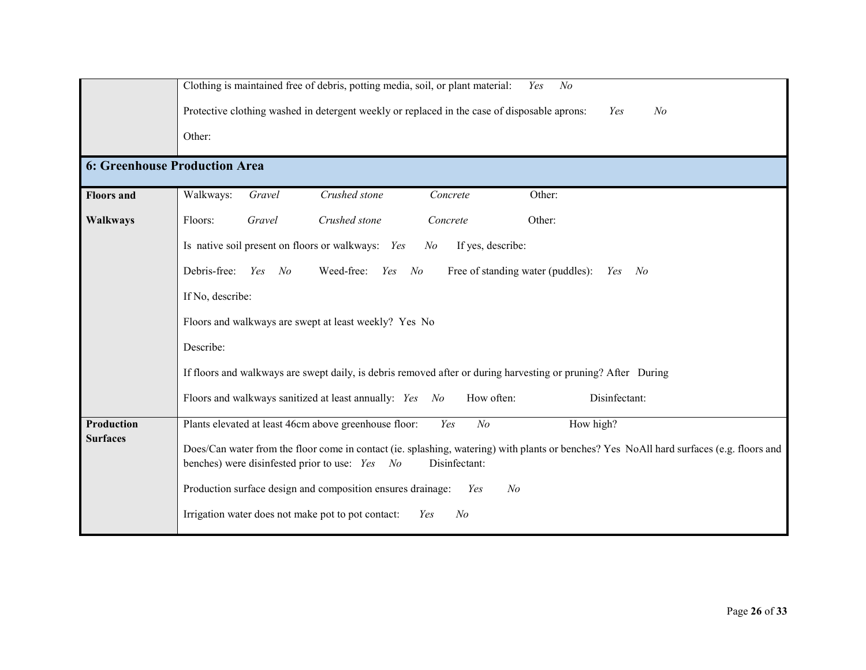|                                      | Clothing is maintained free of debris, potting media, soil, or plant material:<br>N <sub>o</sub><br>Yes                                                                                                           |  |  |
|--------------------------------------|-------------------------------------------------------------------------------------------------------------------------------------------------------------------------------------------------------------------|--|--|
|                                      | Protective clothing washed in detergent weekly or replaced in the case of disposable aprons:<br>N <sub>o</sub><br>Yes                                                                                             |  |  |
|                                      | Other:                                                                                                                                                                                                            |  |  |
| <b>6: Greenhouse Production Area</b> |                                                                                                                                                                                                                   |  |  |
| <b>Floors</b> and                    | Crushed stone<br>Walkways:<br>Gravel<br>Concrete<br>Other:                                                                                                                                                        |  |  |
| <b>Walkways</b>                      | Floors:<br>Gravel<br>Crushed stone<br>Concrete<br>Other:                                                                                                                                                          |  |  |
|                                      | Is native soil present on floors or walkways: Yes<br>If yes, describe:<br>N <sub>o</sub>                                                                                                                          |  |  |
|                                      | Debris-free: Yes<br>Weed-free: Yes<br>No<br>Free of standing water (puddles):<br>No<br>No<br>Yes                                                                                                                  |  |  |
|                                      | If No, describe:                                                                                                                                                                                                  |  |  |
|                                      | Floors and walkways are swept at least weekly? Yes No                                                                                                                                                             |  |  |
|                                      | Describe:                                                                                                                                                                                                         |  |  |
|                                      | If floors and walkways are swept daily, is debris removed after or during harvesting or pruning? After During                                                                                                     |  |  |
|                                      | Floors and walkways sanitized at least annually: Yes No<br>How often:<br>Disinfectant:                                                                                                                            |  |  |
| <b>Production</b>                    | Plants elevated at least 46cm above greenhouse floor:<br>N <sub>o</sub><br>Yes<br>How high?                                                                                                                       |  |  |
| <b>Surfaces</b>                      | Does/Can water from the floor come in contact (ie. splashing, watering) with plants or benches? Yes NoAll hard surfaces (e.g. floors and<br>benches) were disinfested prior to use: Yes<br>Disinfectant:<br>$N$ o |  |  |
|                                      | Production surface design and composition ensures drainage:<br>N <sub>o</sub><br>Yes                                                                                                                              |  |  |
|                                      | Irrigation water does not make pot to pot contact:<br>N <sub>o</sub><br>Yes                                                                                                                                       |  |  |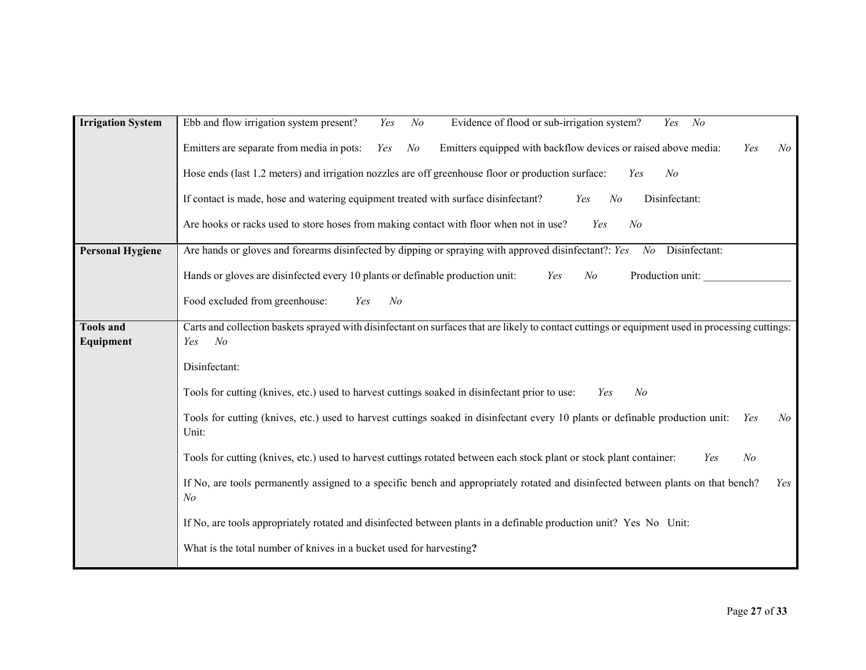| <b>Irrigation System</b> | Ebb and flow irrigation system present?<br>N <sub>o</sub><br>Evidence of flood or sub-irrigation system?<br>$N$ o<br>Yes<br>Yes                                           |
|--------------------------|---------------------------------------------------------------------------------------------------------------------------------------------------------------------------|
|                          | Emitters are separate from media in pots:<br>Emitters equipped with backflow devices or raised above media:<br>Yes<br>$N$ o<br>Yes<br>$N\!o$                              |
|                          | Hose ends (last 1.2 meters) and irrigation nozzles are off greenhouse floor or production surface:<br>N <sub>o</sub><br>Yes                                               |
|                          | If contact is made, hose and watering equipment treated with surface disinfectant?<br>Disinfectant:<br>Yes<br>N <sub>o</sub>                                              |
|                          | Are hooks or racks used to store hoses from making contact with floor when not in use?<br>N <sub>o</sub><br>Yes                                                           |
| <b>Personal Hygiene</b>  | Are hands or gloves and forearms disinfected by dipping or spraying with approved disinfectant?: Yes<br>Disinfectant:<br>$N$ o                                            |
|                          | Hands or gloves are disinfected every 10 plants or definable production unit:<br>Production unit:<br>Yes<br>$N$ o                                                         |
|                          | Food excluded from greenhouse:<br>N <sub>o</sub><br>Yes                                                                                                                   |
| <b>Tools and</b>         | Carts and collection baskets sprayed with disinfectant on surfaces that are likely to contact cuttings or equipment used in processing cuttings:<br>N <sub>o</sub><br>Yes |
| Equipment                |                                                                                                                                                                           |
|                          | Disinfectant:                                                                                                                                                             |
|                          | Tools for cutting (knives, etc.) used to harvest cuttings soaked in disinfectant prior to use:<br>$N$ o<br>Yes                                                            |
|                          | Tools for cutting (knives, etc.) used to harvest cuttings soaked in disinfectant every 10 plants or definable production unit:<br>Yes<br>$N\!o$<br>Unit:                  |
|                          | Tools for cutting (knives, etc.) used to harvest cuttings rotated between each stock plant or stock plant container:<br>N <sub>o</sub><br>Yes                             |
|                          | If No, are tools permanently assigned to a specific bench and appropriately rotated and disinfected between plants on that bench?<br>Yes<br>N <sub>o</sub>                |
|                          | If No, are tools appropriately rotated and disinfected between plants in a definable production unit? Yes No Unit:                                                        |
|                          | What is the total number of knives in a bucket used for harvesting?                                                                                                       |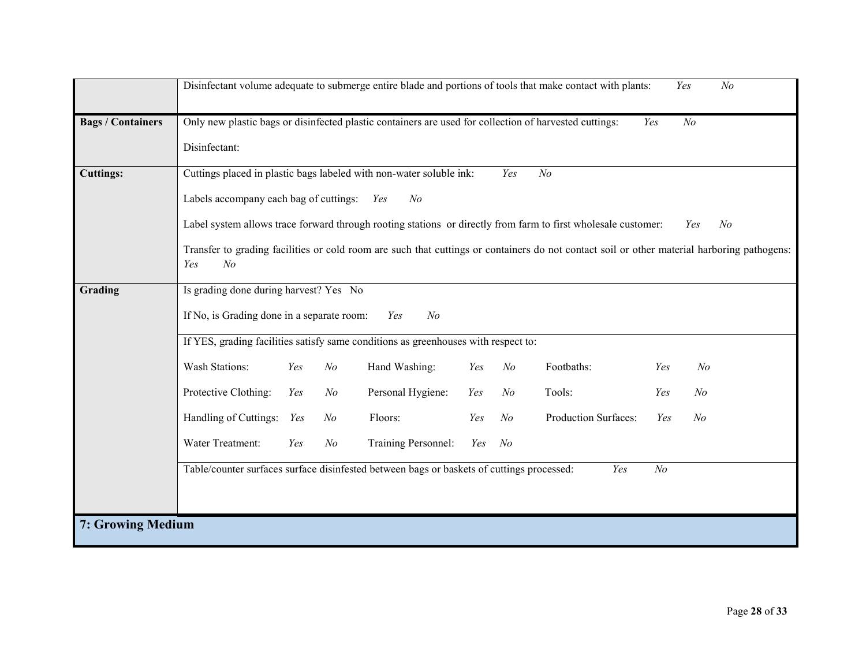|                          | Disinfectant volume adequate to submerge entire blade and portions of tools that make contact with plants:<br>Yes<br>N <sub>o</sub>         |
|--------------------------|---------------------------------------------------------------------------------------------------------------------------------------------|
| <b>Bags / Containers</b> | Only new plastic bags or disinfected plastic containers are used for collection of harvested cuttings:<br>N <sub>o</sub><br>Yes             |
|                          | Disinfectant:                                                                                                                               |
| <b>Cuttings:</b>         | Cuttings placed in plastic bags labeled with non-water soluble ink:<br>N <sub>o</sub><br>Yes                                                |
|                          | Labels accompany each bag of cuttings: Yes<br>N <sub>o</sub>                                                                                |
|                          | Label system allows trace forward through rooting stations or directly from farm to first wholesale customer:<br>$N$ o<br>Yes               |
|                          | Transfer to grading facilities or cold room are such that cuttings or containers do not contact soil or other material harboring pathogens: |
|                          | N <sub>o</sub><br>Yes                                                                                                                       |
| Grading                  | Is grading done during harvest? Yes No                                                                                                      |
|                          | If No, is Grading done in a separate room:<br>N <sub>o</sub><br>Yes                                                                         |
|                          | If YES, grading facilities satisfy same conditions as greenhouses with respect to:                                                          |
|                          | <b>Wash Stations:</b><br>Hand Washing:<br>Footbaths:<br>Yes<br>N <sub>o</sub><br>Yes<br>$N$ o<br>Yes<br>N <sub>o</sub>                      |
|                          | Protective Clothing:<br>Personal Hygiene:<br>Tools:<br>Yes<br>$N$ o<br>$N$ o<br>Yes<br>N <sub>o</sub><br>Yes                                |
|                          | Handling of Cuttings: Yes<br>Production Surfaces:<br>Floors:<br>N <sub>o</sub><br>N <sub>o</sub><br>$N$ o<br>Yes<br>Yes                     |
|                          | Water Treatment:<br>Training Personnel:<br>N <sub>o</sub><br>Yes<br>Yes<br>$N$ o                                                            |
|                          | Table/counter surfaces surface disinfested between bags or baskets of cuttings processed:<br>N <sub>o</sub><br>Yes                          |
|                          |                                                                                                                                             |
| 7: Growing Medium        |                                                                                                                                             |
|                          |                                                                                                                                             |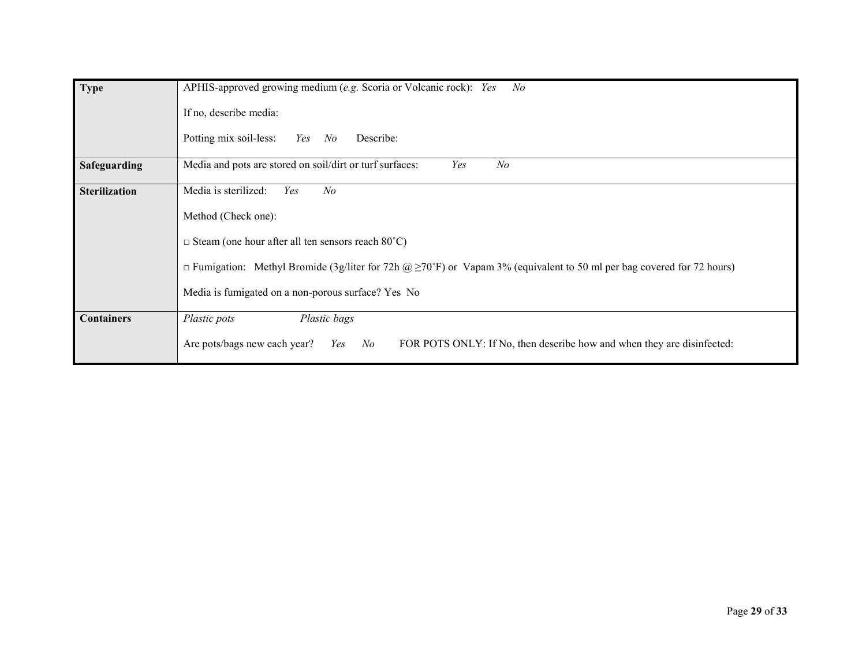| Type                 | APHIS-approved growing medium (e.g. Scoria or Volcanic rock): Yes<br>$N$ o                                                        |
|----------------------|-----------------------------------------------------------------------------------------------------------------------------------|
|                      | If no, describe media:                                                                                                            |
|                      | Potting mix soil-less:<br>Describe:<br>Yes<br>No                                                                                  |
| Safeguarding         | Media and pots are stored on soil/dirt or turf surfaces:<br>Yes<br>N <sub>o</sub>                                                 |
| <b>Sterilization</b> | Media is sterilized:<br>$N$ o<br>Yes                                                                                              |
|                      | Method (Check one):                                                                                                               |
|                      | $\Box$ Steam (one hour after all ten sensors reach 80°C)                                                                          |
|                      | $\Box$ Fumigation: Methyl Bromide (3g/liter for 72h @ $\geq$ 70°F) or Vapam 3% (equivalent to 50 ml per bag covered for 72 hours) |
|                      | Media is fumigated on a non-porous surface? Yes No                                                                                |
| <b>Containers</b>    | Plastic bags<br>Plastic pots                                                                                                      |
|                      | Are pots/bags new each year?<br>FOR POTS ONLY: If No, then describe how and when they are disinfected:<br>No<br>Yes               |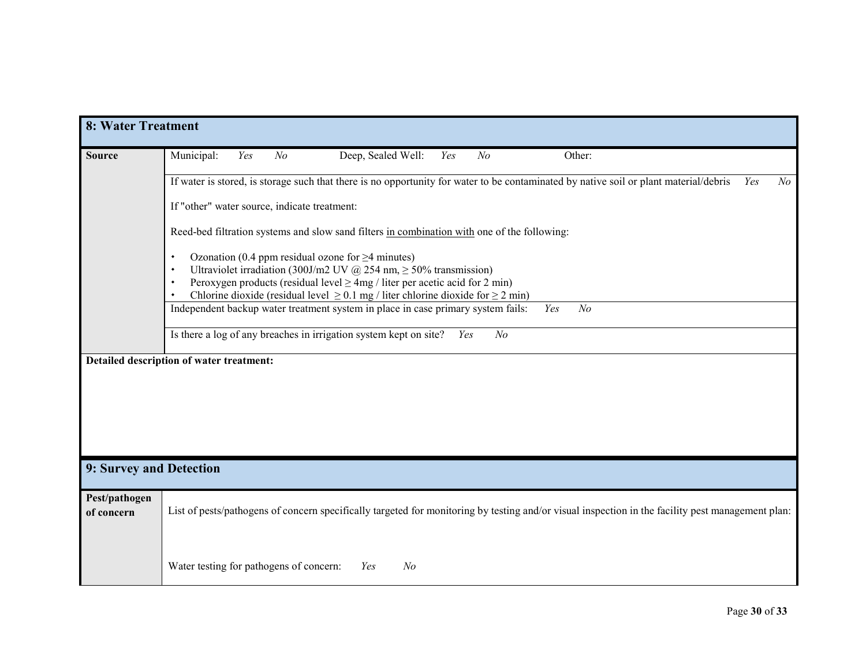| <b>8: Water Treatment</b> |                                                                                                                                                                                                        |  |  |  |
|---------------------------|--------------------------------------------------------------------------------------------------------------------------------------------------------------------------------------------------------|--|--|--|
| <b>Source</b>             | Deep, Sealed Well:<br>Municipal:<br>N <sub>o</sub><br>N <sub>o</sub><br>Other:<br>Yes<br>Yes                                                                                                           |  |  |  |
|                           | If water is stored, is storage such that there is no opportunity for water to be contaminated by native soil or plant material/debris<br>N o<br>Yes                                                    |  |  |  |
|                           | If "other" water source, indicate treatment:                                                                                                                                                           |  |  |  |
|                           | Reed-bed filtration systems and slow sand filters in combination with one of the following:                                                                                                            |  |  |  |
|                           | Ozonation (0.4 ppm residual ozone for $\geq$ 4 minutes)<br>Ultraviolet irradiation (300J/m2 UV @ 254 nm, $\geq$ 50% transmission)<br>$\bullet$                                                         |  |  |  |
|                           | Peroxygen products (residual level $\geq$ 4mg / liter per acetic acid for 2 min)                                                                                                                       |  |  |  |
|                           | Chlorine dioxide (residual level $\geq$ 0.1 mg / liter chlorine dioxide for $\geq$ 2 min)<br>Independent backup water treatment system in place in case primary system fails:<br>Yes<br>N <sub>o</sub> |  |  |  |
|                           |                                                                                                                                                                                                        |  |  |  |
|                           | Is there a log of any breaches in irrigation system kept on site?<br>N <sub>o</sub><br>Yes                                                                                                             |  |  |  |
|                           | Detailed description of water treatment:                                                                                                                                                               |  |  |  |
|                           |                                                                                                                                                                                                        |  |  |  |
|                           |                                                                                                                                                                                                        |  |  |  |
|                           |                                                                                                                                                                                                        |  |  |  |
|                           |                                                                                                                                                                                                        |  |  |  |
|                           |                                                                                                                                                                                                        |  |  |  |
| 9: Survey and Detection   |                                                                                                                                                                                                        |  |  |  |
|                           |                                                                                                                                                                                                        |  |  |  |
| Pest/pathogen             |                                                                                                                                                                                                        |  |  |  |
| of concern                | List of pests/pathogens of concern specifically targeted for monitoring by testing and/or visual inspection in the facility pest management plan:                                                      |  |  |  |
|                           |                                                                                                                                                                                                        |  |  |  |
|                           |                                                                                                                                                                                                        |  |  |  |
|                           | Water testing for pathogens of concern:<br>Yes<br>N <sub>o</sub>                                                                                                                                       |  |  |  |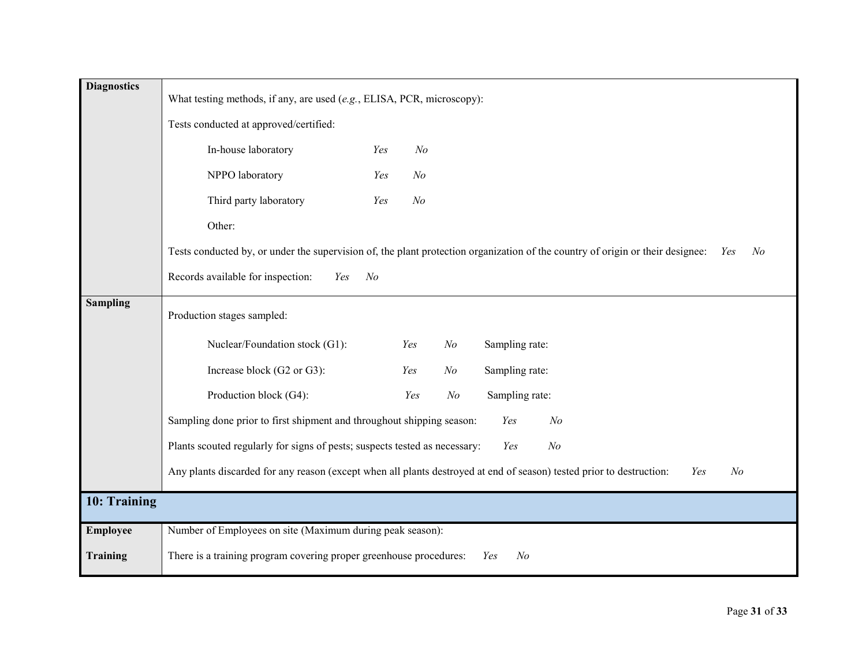| <b>Diagnostics</b> | What testing methods, if any, are used (e.g., ELISA, PCR, microscopy):                                                                               |
|--------------------|------------------------------------------------------------------------------------------------------------------------------------------------------|
|                    | Tests conducted at approved/certified:                                                                                                               |
|                    | In-house laboratory<br>N <sub>o</sub><br>Yes                                                                                                         |
|                    | NPPO laboratory<br>N <sub>o</sub><br>Yes                                                                                                             |
|                    | Third party laboratory<br>Yes<br>N <sub>o</sub>                                                                                                      |
|                    | Other:                                                                                                                                               |
|                    | Tests conducted by, or under the supervision of, the plant protection organization of the country of origin or their designee: Yes<br>N <sub>o</sub> |
|                    | Records available for inspection:<br>Yes<br>No                                                                                                       |
| <b>Sampling</b>    | Production stages sampled:                                                                                                                           |
|                    | Nuclear/Foundation stock (G1):<br>Sampling rate:<br>Yes<br>$N$ o                                                                                     |
|                    | Increase block (G2 or G3):<br>Sampling rate:<br>Yes<br>N <sub>o</sub>                                                                                |
|                    | Production block (G4):<br>Sampling rate:<br>Yes<br>N <sub>o</sub>                                                                                    |
|                    | Sampling done prior to first shipment and throughout shipping season:<br>N <sub>o</sub><br>Yes                                                       |
|                    | Plants scouted regularly for signs of pests; suspects tested as necessary:<br>Yes<br>N <sub>O</sub>                                                  |
|                    | Any plants discarded for any reason (except when all plants destroyed at end of season) tested prior to destruction:<br>N <sub>o</sub><br>Yes        |
| 10: Training       |                                                                                                                                                      |
| <b>Employee</b>    | Number of Employees on site (Maximum during peak season):                                                                                            |
| <b>Training</b>    | There is a training program covering proper greenhouse procedures:<br>N <sub>o</sub><br>Yes                                                          |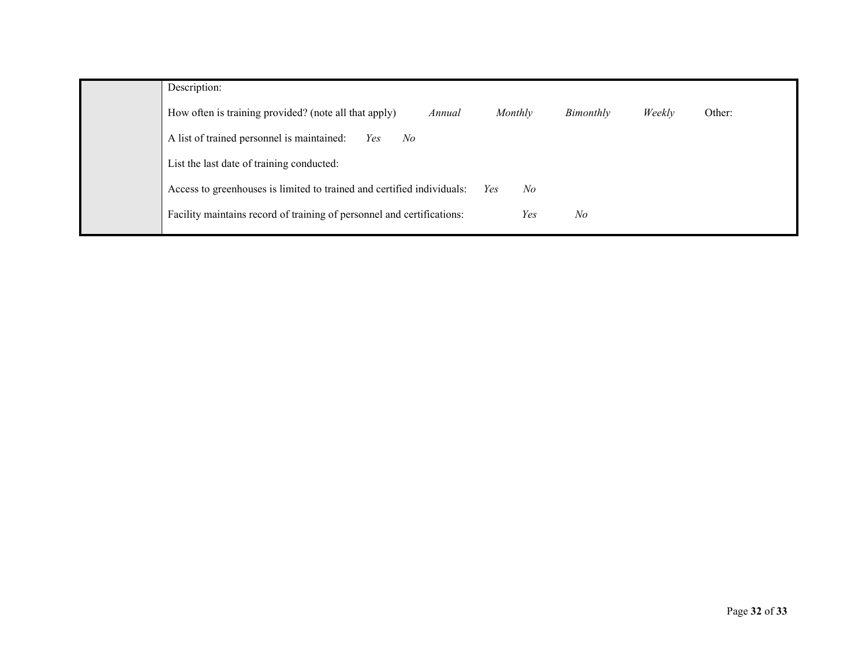| Description:                                                                                                |
|-------------------------------------------------------------------------------------------------------------|
| How often is training provided? (note all that apply)<br>Monthly<br>Weekly<br>Other:<br>Bimonthly<br>Annual |
| A list of trained personnel is maintained:<br>N <sub>o</sub><br>Yes                                         |
| List the last date of training conducted:                                                                   |
| Access to greenhouses is limited to trained and certified individuals:<br>No<br>Yes                         |
| Facility maintains record of training of personnel and certifications:<br>Yes<br>No                         |